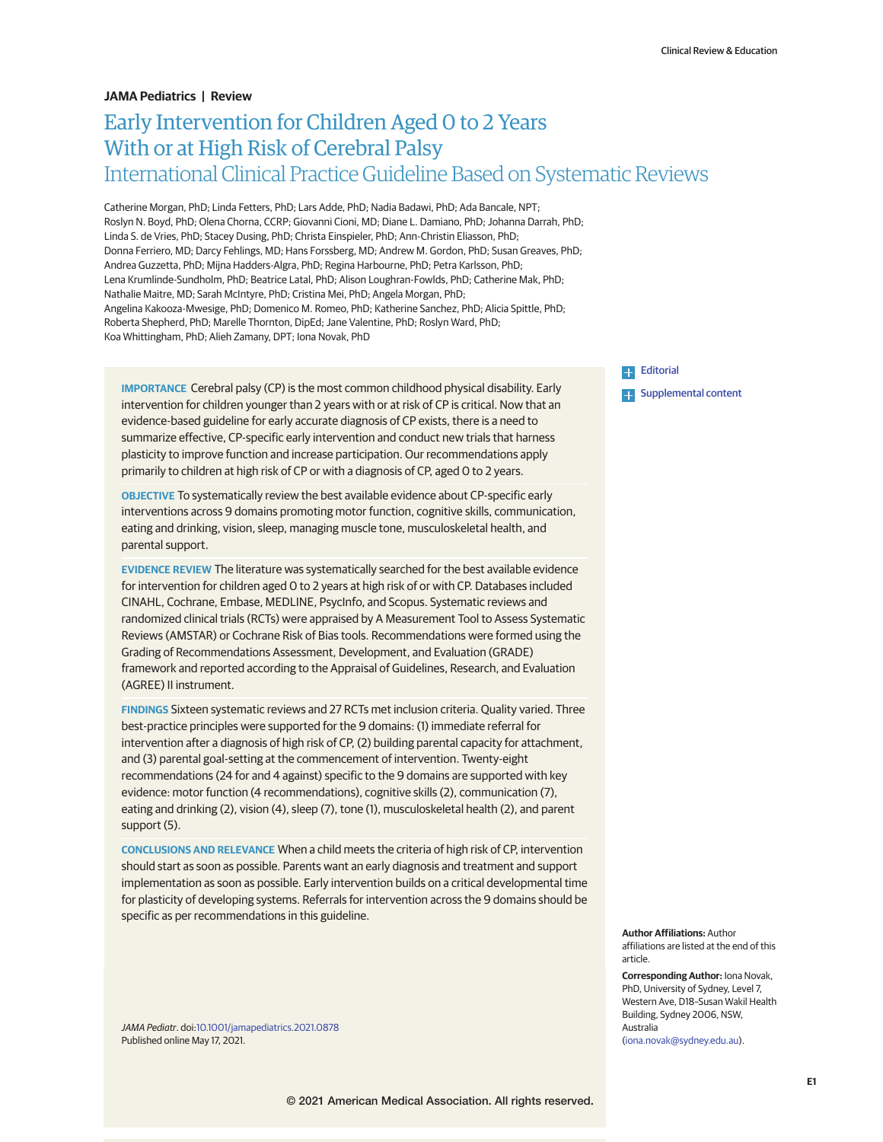## **JAMA Pediatrics | Review**

# Early Intervention for Children Aged 0 to 2 Years With or at High Risk of Cerebral Palsy International Clinical Practice Guideline Based on Systematic Reviews

Catherine Morgan, PhD; Linda Fetters, PhD; Lars Adde, PhD; Nadia Badawi, PhD; Ada Bancale, NPT; Roslyn N. Boyd, PhD; Olena Chorna, CCRP; Giovanni Cioni, MD; Diane L. Damiano, PhD; Johanna Darrah, PhD; Linda S. de Vries, PhD; Stacey Dusing, PhD; Christa Einspieler, PhD; Ann-Christin Eliasson, PhD; Donna Ferriero, MD; Darcy Fehlings, MD; Hans Forssberg, MD; Andrew M. Gordon, PhD; Susan Greaves, PhD; Andrea Guzzetta, PhD; Mijna Hadders-Algra, PhD; Regina Harbourne, PhD; Petra Karlsson, PhD; Lena Krumlinde-Sundholm, PhD; Beatrice Latal, PhD; Alison Loughran-Fowlds, PhD; Catherine Mak, PhD; Nathalie Maitre, MD; Sarah McIntyre, PhD; Cristina Mei, PhD; Angela Morgan, PhD; Angelina Kakooza-Mwesige, PhD; Domenico M. Romeo, PhD; Katherine Sanchez, PhD; Alicia Spittle, PhD; Roberta Shepherd, PhD; Marelle Thornton, DipEd; Jane Valentine, PhD; Roslyn Ward, PhD; Koa Whittingham, PhD; Alieh Zamany, DPT; Iona Novak, PhD

**IMPORTANCE** Cerebral palsy (CP) is the most common childhood physical disability. Early intervention for children younger than 2 years with or at risk of CP is critical. Now that an evidence-based guideline for early accurate diagnosis of CP exists, there is a need to summarize effective, CP-specific early intervention and conduct new trials that harness plasticity to improve function and increase participation. Our recommendations apply primarily to children at high risk of CP or with a diagnosis of CP, aged 0 to 2 years.

**OBJECTIVE** To systematically review the best available evidence about CP-specific early interventions across 9 domains promoting motor function, cognitive skills, communication, eating and drinking, vision, sleep, managing muscle tone, musculoskeletal health, and parental support.

**EVIDENCE REVIEW** The literature was systematically searched for the best available evidence for intervention for children aged 0 to 2 years at high risk of or with CP. Databases included CINAHL, Cochrane, Embase, MEDLINE, PsycInfo, and Scopus. Systematic reviews and randomized clinical trials (RCTs) were appraised by A Measurement Tool to Assess Systematic Reviews (AMSTAR) or Cochrane Risk of Bias tools. Recommendations were formed using the Grading of Recommendations Assessment, Development, and Evaluation (GRADE) framework and reported according to the Appraisal of Guidelines, Research, and Evaluation (AGREE) II instrument.

**FINDINGS** Sixteen systematic reviews and 27 RCTs met inclusion criteria. Quality varied. Three best-practice principles were supported for the 9 domains: (1) immediate referral for intervention after a diagnosis of high risk of CP, (2) building parental capacity for attachment, and (3) parental goal-setting at the commencement of intervention. Twenty-eight recommendations (24 for and 4 against) specific to the 9 domains are supported with key evidence: motor function (4 recommendations), cognitive skills (2), communication (7), eating and drinking (2), vision (4), sleep (7), tone (1), musculoskeletal health (2), and parent support (5).

**CONCLUSIONS AND RELEVANCE** When a child meets the criteria of high risk of CP, intervention should start as soon as possible. Parents want an early diagnosis and treatment and support implementation as soon as possible. Early intervention builds on a critical developmental time for plasticity of developing systems. Referrals for intervention across the 9 domains should be specific as per recommendations in this guideline.

JAMA Pediatr. doi[:10.1001/jamapediatrics.2021.0878](https://jamanetwork.com/journals/jama/fullarticle/10.1001/jamapediatrics.2021.0878?utm_campaign=articlePDF%26utm_medium=articlePDFlink%26utm_source=articlePDF%26utm_content=jamapediatrics.2021.0878) Published online May 17, 2021.

**[Editorial](https://jamanetwork.com/journals/jama/fullarticle/10.1001/jamapediatrics.2021.0884?utm_campaign=articlePDF%26utm_medium=articlePDFlink%26utm_source=articlePDF%26utm_content=jamapediatrics.2021.0878)** ЦL.

**Examplemental content** 

**Author Affiliations:** Author affiliations are listed at the end of this article.

**Corresponding Author:** Iona Novak, PhD, University of Sydney, Level 7, Western Ave, D18–Susan Wakil Health Building, Sydney 2006, NSW, Australia [\(iona.novak@sydney.edu.au\)](mailto:iona.novak@sydney.edu.au).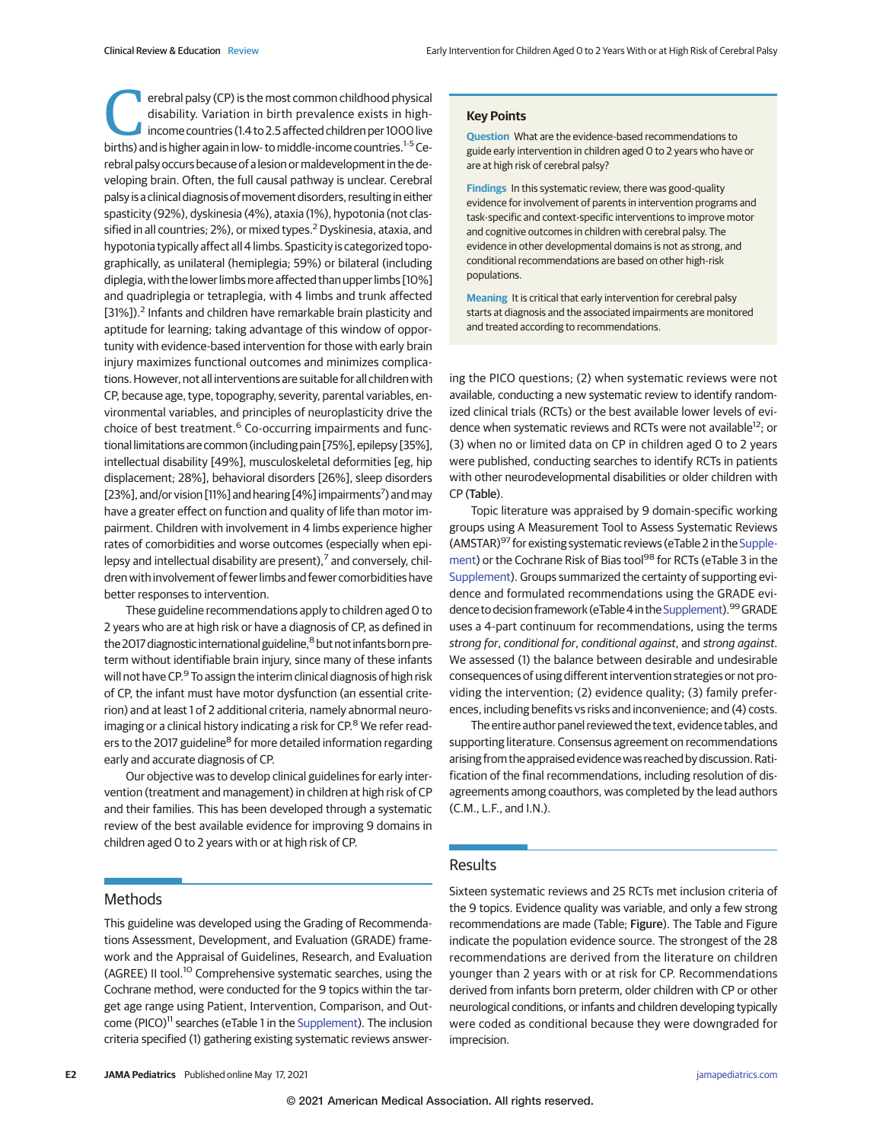erebral palsy (CP) is the most common childhood physical<br>disability. Variation in birth prevalence exists in high-<br>income countries (1.4 to 2.5 affected children per 1000 live<br>births) and is birther again in low- to middle disability. Variation in birth prevalence exists in highbirths) and is higher again in low- to middle-income countries.<sup>1-5</sup> Cerebral palsy occurs because of a lesion or maldevelopment in the developing brain. Often, the full causal pathway is unclear. Cerebral palsy is a clinical diagnosis of movement disorders, resulting in either spasticity (92%), dyskinesia (4%), ataxia (1%), hypotonia (not classified in all countries; 2%), or mixed types.<sup>2</sup> Dyskinesia, ataxia, and hypotonia typically affect all 4 limbs. Spasticity is categorized topographically, as unilateral (hemiplegia; 59%) or bilateral (including diplegia, with the lower limbs more affected than upper limbs [10%] and quadriplegia or tetraplegia, with 4 limbs and trunk affected [31%]).<sup>2</sup> Infants and children have remarkable brain plasticity and aptitude for learning; taking advantage of this window of opportunity with evidence-based intervention for those with early brain injury maximizes functional outcomes and minimizes complications. However, not all interventions are suitable for all children with CP, because age, type, topography, severity, parental variables, environmental variables, and principles of neuroplasticity drive the choice of best treatment.<sup>6</sup> Co-occurring impairments and functional limitations are common (including pain [75%], epilepsy [35%], intellectual disability [49%], musculoskeletal deformities [eg, hip displacement; 28%], behavioral disorders [26%], sleep disorders [23%], and/or vision [11%] and hearing [4%] impairments<sup>7</sup>) and may have a greater effect on function and quality of life than motor impairment. Children with involvement in 4 limbs experience higher rates of comorbidities and worse outcomes (especially when epilepsy and intellectual disability are present), $<sup>7</sup>$  and conversely, chil-</sup> dren with involvement of fewer limbs and fewer comorbidities have better responses to intervention.

These guideline recommendations apply to children aged 0 to 2 years who are at high risk or have a diagnosis of CP, as defined in the 2017 diagnostic international guideline,<sup>8</sup> but not infants born preterm without identifiable brain injury, since many of these infants will not have CP.<sup>9</sup> To assign the interim clinical diagnosis of high risk of CP, the infant must have motor dysfunction (an essential criterion) and at least 1 of 2 additional criteria, namely abnormal neuroimaging or a clinical history indicating a risk for CP.<sup>8</sup> We refer readers to the 2017 guideline<sup>8</sup> for more detailed information regarding early and accurate diagnosis of CP.

Our objective was to develop clinical guidelines for early intervention (treatment and management) in children at high risk of CP and their families. This has been developed through a systematic review of the best available evidence for improving 9 domains in children aged 0 to 2 years with or at high risk of CP.

### **Key Points**

**Question** What are the evidence-based recommendations to guide early intervention in children aged 0 to 2 years who have or are at high risk of cerebral palsy?

**Findings** In this systematic review, there was good-quality evidence for involvement of parents in intervention programs and task-specific and context-specific interventions to improve motor and cognitive outcomes in children with cerebral palsy. The evidence in other developmental domains is not as strong, and conditional recommendations are based on other high-risk populations.

**Meaning** It is critical that early intervention for cerebral palsy starts at diagnosis and the associated impairments are monitored and treated according to recommendations.

ing the PICO questions; (2) when systematic reviews were not available, conducting a new systematic review to identify randomized clinical trials (RCTs) or the best available lower levels of evidence when systematic reviews and RCTs were not available<sup>12</sup>; or (3) when no or limited data on CP in children aged 0 to 2 years were published, conducting searches to identify RCTs in patients with other neurodevelopmental disabilities or older children with CP (Table).

Topic literature was appraised by 9 domain-specific working groups using A Measurement Tool to Assess Systematic Reviews (AMSTAR)<sup>97</sup> for existing systematic reviews (eTable 2 in the [Supple](https://jamanetwork.com/journals/jama/fullarticle/10.1001/jamapediatrics.2021.0878?utm_campaign=articlePDF%26utm_medium=articlePDFlink%26utm_source=articlePDF%26utm_content=jamapediatrics.2021.0878)[ment\)](https://jamanetwork.com/journals/jama/fullarticle/10.1001/jamapediatrics.2021.0878?utm_campaign=articlePDF%26utm_medium=articlePDFlink%26utm_source=articlePDF%26utm_content=jamapediatrics.2021.0878) or the Cochrane Risk of Bias tool<sup>98</sup> for RCTs (eTable 3 in the [Supplement\)](https://jamanetwork.com/journals/jama/fullarticle/10.1001/jamapediatrics.2021.0878?utm_campaign=articlePDF%26utm_medium=articlePDFlink%26utm_source=articlePDF%26utm_content=jamapediatrics.2021.0878). Groups summarized the certainty of supporting evidence and formulated recommendations using the GRADE evi-dence to decision framework (eTable 4 in the [Supplement\)](https://jamanetwork.com/journals/jama/fullarticle/10.1001/jamapediatrics.2021.0878?utm_campaign=articlePDF%26utm_medium=articlePDFlink%26utm_source=articlePDF%26utm_content=jamapediatrics.2021.0878).<sup>99</sup> GRADE uses a 4-part continuum for recommendations, using the terms strong for, conditional for, conditional against, and strong against. We assessed (1) the balance between desirable and undesirable consequences of using different intervention strategies or not providing the intervention; (2) evidence quality; (3) family preferences, including benefits vs risks and inconvenience; and (4) costs.

The entire author panel reviewed the text, evidence tables, and supporting literature. Consensus agreement on recommendations arising from the appraised evidence was reached by discussion. Ratification of the final recommendations, including resolution of disagreements among coauthors, was completed by the lead authors (C.M., L.F., and I.N.).

## Results

## **Methods**

This guideline was developed using the Grading of Recommendations Assessment, Development, and Evaluation (GRADE) framework and the Appraisal of Guidelines, Research, and Evaluation (AGREE) II tool.<sup>10</sup> Comprehensive systematic searches, using the Cochrane method, were conducted for the 9 topics within the target age range using Patient, Intervention, Comparison, and Out-come (PICO)<sup>11</sup> searches (eTable 1 in the [Supplement\)](https://jamanetwork.com/journals/jama/fullarticle/10.1001/jamapediatrics.2021.0878?utm_campaign=articlePDF%26utm_medium=articlePDFlink%26utm_source=articlePDF%26utm_content=jamapediatrics.2021.0878). The inclusion criteria specified (1) gathering existing systematic reviews answerSixteen systematic reviews and 25 RCTs met inclusion criteria of the 9 topics. Evidence quality was variable, and only a few strong recommendations are made (Table; Figure). The Table and Figure indicate the population evidence source. The strongest of the 28 recommendations are derived from the literature on children younger than 2 years with or at risk for CP. Recommendations derived from infants born preterm, older children with CP or other neurological conditions, or infants and children developing typically were coded as conditional because they were downgraded for imprecision.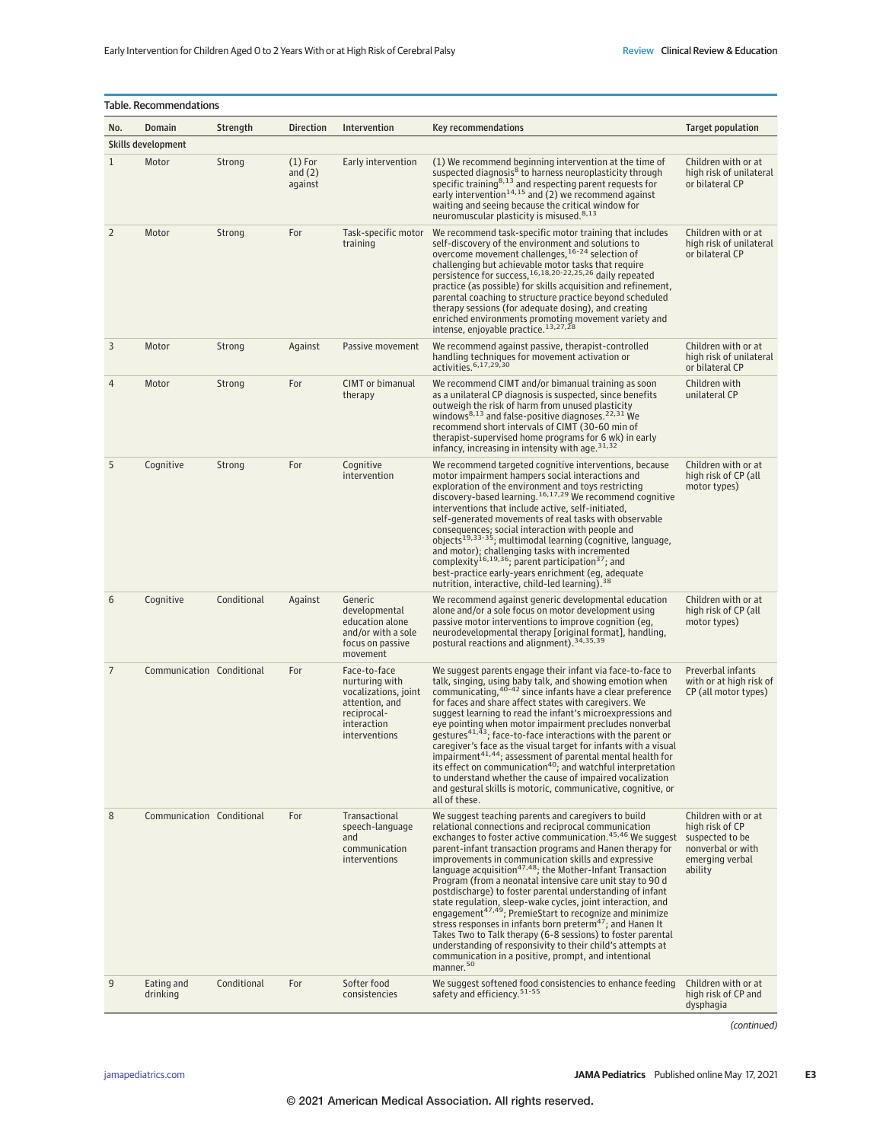| Table. Recommendations |                           |             |                                   |                                                                                                                         |                                                                                                                                                                                                                                                                                                                                                                                                                                                                                                                                                                                                                                                                                                                                                                                                                                                                                                                                        |                                                                                                              |  |
|------------------------|---------------------------|-------------|-----------------------------------|-------------------------------------------------------------------------------------------------------------------------|----------------------------------------------------------------------------------------------------------------------------------------------------------------------------------------------------------------------------------------------------------------------------------------------------------------------------------------------------------------------------------------------------------------------------------------------------------------------------------------------------------------------------------------------------------------------------------------------------------------------------------------------------------------------------------------------------------------------------------------------------------------------------------------------------------------------------------------------------------------------------------------------------------------------------------------|--------------------------------------------------------------------------------------------------------------|--|
| No.                    | <b>Domain</b>             | Strength    | <b>Direction</b>                  | Intervention                                                                                                            | Key recommendations                                                                                                                                                                                                                                                                                                                                                                                                                                                                                                                                                                                                                                                                                                                                                                                                                                                                                                                    | Target population                                                                                            |  |
| Skills development     |                           |             |                                   |                                                                                                                         |                                                                                                                                                                                                                                                                                                                                                                                                                                                                                                                                                                                                                                                                                                                                                                                                                                                                                                                                        |                                                                                                              |  |
| $\mathbf{1}$           | Motor                     | Strong      | $(1)$ For<br>and $(2)$<br>against | Early intervention                                                                                                      | (1) We recommend beginning intervention at the time of<br>suspected diagnosis <sup>8</sup> to harness neuroplasticity through<br>specific training <sup>8,13</sup> and respecting parent requests for<br>early intervention <sup>14,15</sup> and (2) we recommend against<br>waiting and seeing because the critical window for<br>neuromuscular plasticity is misused. <sup>8,13</sup>                                                                                                                                                                                                                                                                                                                                                                                                                                                                                                                                                | Children with or at<br>high risk of unilateral<br>or bilateral CP                                            |  |
| $\overline{2}$         | Motor                     | Strong      | For                               | Task-specific motor<br>training                                                                                         | We recommend task-specific motor training that includes<br>self-discovery of the environment and solutions to<br>overcome movement challenges, 16-24 selection of<br>challenging but achievable motor tasks that require<br>persistence for success, 16,18,20-22,25,26 daily repeated<br>practice (as possible) for skills acquisition and refinement,<br>parental coaching to structure practice beyond scheduled<br>therapy sessions (for adequate dosing), and creating<br>enriched environments promoting movement variety and<br>intense, enjoyable practice. <sup>13,27,28</sup>                                                                                                                                                                                                                                                                                                                                                 | Children with or at<br>high risk of unilateral<br>or bilateral CP                                            |  |
| 3                      | Motor                     | Strong      | Against                           | Passive movement                                                                                                        | We recommend against passive, therapist-controlled<br>handling techniques for movement activation or<br>activities. 6,17,29,30                                                                                                                                                                                                                                                                                                                                                                                                                                                                                                                                                                                                                                                                                                                                                                                                         | Children with or at<br>high risk of unilateral<br>or bilateral CP                                            |  |
| 4                      | Motor                     | Strong      | For                               | <b>CIMT</b> or bimanual<br>therapy                                                                                      | We recommend CIMT and/or bimanual training as soon<br>as a unilateral CP diagnosis is suspected, since benefits<br>outweigh the risk of harm from unused plasticity<br>windows <sup>8,13</sup> and false-positive diagnoses. <sup>22,31</sup> We<br>recommend short intervals of CIMT (30-60 min of<br>therapist-supervised home programs for 6 wk) in early<br>infancy, increasing in intensity with age. 31,32                                                                                                                                                                                                                                                                                                                                                                                                                                                                                                                       | Children with<br>unilateral CP                                                                               |  |
| 5                      | Cognitive                 | Strong      | For                               | Cognitive<br>intervention                                                                                               | We recommend targeted cognitive interventions, because<br>motor impairment hampers social interactions and<br>exploration of the environment and toys restricting<br>discovery-based learning. <sup>16,17,29</sup> We recommend cognitive<br>interventions that include active, self-initiated,<br>self-generated movements of real tasks with observable<br>consequences; social interaction with people and<br>objects <sup>19,33-35</sup> ; multimodal learning (cognitive, language,<br>and motor); challenging tasks with incremented<br>complexity <sup>16,19,36</sup> ; parent participation <sup>37</sup> ; and<br>best-practice early-years enrichment (eg, adequate<br>nutrition, interactive, child-led learning). 38                                                                                                                                                                                                       | Children with or at<br>high risk of CP (all<br>motor types)                                                  |  |
| 6                      | Cognitive                 | Conditional | Against                           | Generic<br>developmental<br>education alone<br>and/or with a sole<br>focus on passive<br>movement                       | We recommend against generic developmental education<br>alone and/or a sole focus on motor development using<br>passive motor interventions to improve cognition (eg,<br>neurodevelopmental therapy [original format], handling,<br>postural reactions and alignment). 34,35,39                                                                                                                                                                                                                                                                                                                                                                                                                                                                                                                                                                                                                                                        | Children with or at<br>high risk of CP (all<br>motor types)                                                  |  |
| 7                      | Communication Conditional |             | For                               | Face-to-face<br>nurturing with<br>vocalizations, joint<br>attention, and<br>reciprocal-<br>interaction<br>interventions | We suggest parents engage their infant via face-to-face to<br>talk, singing, using baby talk, and showing emotion when<br>communicating, <sup>40-42</sup> since infants have a clear preference<br>for faces and share affect states with caregivers. We<br>suggest learning to read the infant's microexpressions and<br>eye pointing when motor impairment precludes nonverbal<br>gestures <sup>41,43</sup> ; face-to-face interactions with the parent or<br>caregiver's face as the visual target for infants with a visual<br>$\frac{1}{2}$ impairment $\frac{41.44}{4}$ ; assessment of parental mental health for<br>its effect on communication <sup>40</sup> ; and watchful interpretation<br>to understand whether the cause of impaired vocalization<br>and gestural skills is motoric, communicative, cognitive, or<br>all of these.                                                                                       | Preverbal infants<br>with or at high risk of<br>CP (all motor types)                                         |  |
| 8                      | Communication Conditional |             | For                               | Transactional<br>speech-language<br>and<br>communication<br>interventions                                               | We suggest teaching parents and caregivers to build<br>relational connections and reciprocal communication<br>exchanges to foster active communication. <sup>45,46</sup> We suggest<br>parent-infant transaction programs and Hanen therapy for<br>improvements in communication skills and expressive<br>language acquisition <sup>47,48</sup> ; the Mother-Infant Transaction<br>Program (from a neonatal intensive care unit stay to 90 d<br>postdischarge) to foster parental understanding of infant<br>state regulation, sleep-wake cycles, joint interaction, and<br>engagement <sup>47,49</sup> ; PremieStart to recognize and minimize<br>stress responses in infants born preterm <sup>47</sup> ; and Hanen It<br>Takes Two to Talk therapy (6-8 sessions) to foster parental<br>understanding of responsivity to their child's attempts at<br>communication in a positive, prompt, and intentional<br>manner. <sup>50</sup> | Children with or at<br>high risk of CP<br>suspected to be<br>nonverbal or with<br>emerging verbal<br>ability |  |
| 9                      | Eating and<br>drinking    | Conditional | For                               | Softer food<br>consistencies                                                                                            | We suggest softened food consistencies to enhance feeding<br>safety and efficiency. <sup>51-55</sup>                                                                                                                                                                                                                                                                                                                                                                                                                                                                                                                                                                                                                                                                                                                                                                                                                                   | Children with or at<br>high risk of CP and<br>dysphagia                                                      |  |

(continued)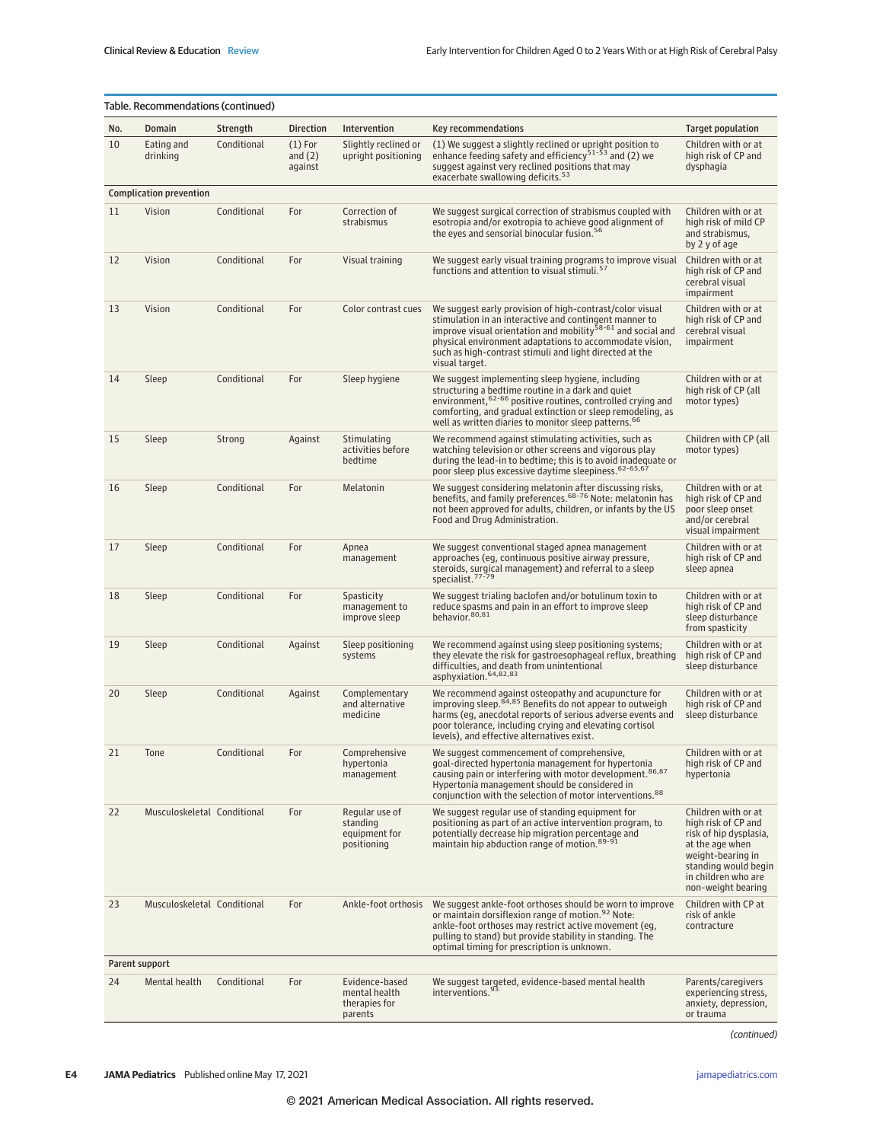|     | Table. Recommendations (continued) |             |                                   |                                                             |                                                                                                                                                                                                                                                                                                                                       |                                                                                                                                                                                   |  |  |  |
|-----|------------------------------------|-------------|-----------------------------------|-------------------------------------------------------------|---------------------------------------------------------------------------------------------------------------------------------------------------------------------------------------------------------------------------------------------------------------------------------------------------------------------------------------|-----------------------------------------------------------------------------------------------------------------------------------------------------------------------------------|--|--|--|
| No. | Domain                             | Strength    | <b>Direction</b>                  | Intervention                                                | Key recommendations                                                                                                                                                                                                                                                                                                                   | <b>Target population</b>                                                                                                                                                          |  |  |  |
| 10  | Eating and<br>drinking             | Conditional | $(1)$ For<br>and $(2)$<br>against | Slightly reclined or<br>upright positioning                 | (1) We suggest a slightly reclined or upright position to<br>enhance feeding safety and efficiency <sup>51-53</sup> and (2) we<br>suggest against very reclined positions that may<br>exacerbate swallowing deficits. <sup>53</sup>                                                                                                   | Children with or at<br>high risk of CP and<br>dysphagia                                                                                                                           |  |  |  |
|     | <b>Complication prevention</b>     |             |                                   |                                                             |                                                                                                                                                                                                                                                                                                                                       |                                                                                                                                                                                   |  |  |  |
| 11  | Vision                             | Conditional | For                               | Correction of<br>strabismus                                 | We suggest surgical correction of strabismus coupled with<br>esotropia and/or exotropia to achieve good alignment of<br>the eyes and sensorial binocular fusion. <sup>56</sup>                                                                                                                                                        | Children with or at<br>high risk of mild CP<br>and strabismus,<br>by 2 y of age                                                                                                   |  |  |  |
| 12  | Vision                             | Conditional | For                               | Visual training                                             | We suggest early visual training programs to improve visual<br>functions and attention to visual stimuli. <sup>57</sup>                                                                                                                                                                                                               | Children with or at<br>high risk of CP and<br>cerebral visual<br>impairment                                                                                                       |  |  |  |
| 13  | Vision                             | Conditional | For                               | Color contrast cues                                         | We suggest early provision of high-contrast/color visual<br>stimulation in an interactive and contingent manner to<br>improve visual orientation and mobility <sup>58-61</sup> and social and<br>physical environment adaptations to accommodate vision,<br>such as high-contrast stimuli and light directed at the<br>visual target. | Children with or at<br>high risk of CP and<br>cerebral visual<br>impairment                                                                                                       |  |  |  |
| 14  | Sleep                              | Conditional | For                               | Sleep hygiene                                               | We suggest implementing sleep hygiene, including<br>structuring a bedtime routine in a dark and quiet<br>environment, <sup>62-66</sup> positive routines, controlled crying and<br>comforting, and gradual extinction or sleep remodeling, as<br>well as written diaries to monitor sleep patterns. <sup>66</sup>                     | Children with or at<br>high risk of CP (all<br>motor types)                                                                                                                       |  |  |  |
| 15  | Sleep                              | Strong      | Against                           | Stimulating<br>activities before<br>bedtime                 | We recommend against stimulating activities, such as<br>watching television or other screens and vigorous play<br>during the lead-in to bedtime; this is to avoid inadequate or<br>poor sleep plus excessive daytime sleepiness. 62-65,67                                                                                             | Children with CP (all<br>motor types)                                                                                                                                             |  |  |  |
| 16  | Sleep                              | Conditional | For                               | Melatonin                                                   | We suggest considering melatonin after discussing risks,<br>benefits, and family preferences. <sup>68-76</sup> Note: melatonin has<br>not been approved for adults, children, or infants by the US<br>Food and Drug Administration.                                                                                                   | Children with or at<br>high risk of CP and<br>poor sleep onset<br>and/or cerebral<br>visual impairment                                                                            |  |  |  |
| 17  | Sleep                              | Conditional | For                               | Apnea<br>management                                         | We suggest conventional staged apnea management<br>approaches (eg, continuous positive airway pressure,<br>steroids, surgical management) and referral to a sleep<br>specialist. <sup>77-79</sup>                                                                                                                                     | Children with or at<br>high risk of CP and<br>sleep apnea                                                                                                                         |  |  |  |
| 18  | Sleep                              | Conditional | For                               | Spasticity<br>management to<br>improve sleep                | We suggest trialing baclofen and/or botulinum toxin to<br>reduce spasms and pain in an effort to improve sleep<br>behavior. 80,81                                                                                                                                                                                                     | Children with or at<br>high risk of CP and<br>sleep disturbance<br>from spasticity                                                                                                |  |  |  |
| 19  | Sleep                              | Conditional | Against                           | Sleep positioning<br>systems                                | We recommend against using sleep positioning systems;<br>they elevate the risk for gastroesophageal reflux, breathing<br>difficulties, and death from unintentional<br>asphyxiation. 64,82,83                                                                                                                                         | Children with or at<br>high risk of CP and<br>sleep disturbance                                                                                                                   |  |  |  |
| 20  | Sleep                              | Conditional | Against                           | Complementary<br>and alternative<br>medicine                | We recommend against osteopathy and acupuncture for<br>improving sleep. 84,85 Benefits do not appear to outweigh<br>harms (eg, anecdotal reports of serious adverse events and<br>poor tolerance, including crying and elevating cortisol<br>levels), and effective alternatives exist.                                               | Children with or at<br>high risk of CP and<br>sleep disturbance                                                                                                                   |  |  |  |
| 21  | Tone                               | Conditional | For                               | Comprehensive<br>hypertonia<br>management                   | We suggest commencement of comprehensive,<br>goal-directed hypertonia management for hypertonia<br>causing pain or interfering with motor development. <sup>86,87</sup><br>Hypertonia management should be considered in<br>conjunction with the selection of motor interventions. <sup>88</sup>                                      | Children with or at<br>high risk of CP and<br>hypertonia                                                                                                                          |  |  |  |
| 22  | Musculoskeletal Conditional        |             | For                               | Regular use of<br>standing<br>equipment for<br>positioning  | We suggest regular use of standing equipment for<br>positioning as part of an active intervention program, to<br>potentially decrease hip migration percentage and<br>maintain hip abduction range of motion. 89-91                                                                                                                   | Children with or at<br>high risk of CP and<br>risk of hip dysplasia,<br>at the age when<br>weight-bearing in<br>standing would begin<br>in children who are<br>non-weight bearing |  |  |  |
| 23  | Musculoskeletal Conditional        |             | For                               | Ankle-foot orthosis                                         | We suggest ankle-foot orthoses should be worn to improve<br>or maintain dorsiflexion range of motion. <sup>92</sup> Note:<br>ankle-foot orthoses may restrict active movement (eg.<br>pulling to stand) but provide stability in standing. The<br>optimal timing for prescription is unknown.                                         | Children with CP at<br>risk of ankle<br>contracture                                                                                                                               |  |  |  |
|     | Parent support                     |             |                                   |                                                             |                                                                                                                                                                                                                                                                                                                                       |                                                                                                                                                                                   |  |  |  |
| 24  | Mental health                      | Conditional | For                               | Evidence-based<br>mental health<br>therapies for<br>parents | We suggest targeted, evidence-based mental health<br>interventions. <sup>93</sup>                                                                                                                                                                                                                                                     | Parents/caregivers<br>experiencing stress,<br>anxiety, depression,<br>or trauma                                                                                                   |  |  |  |

(continued)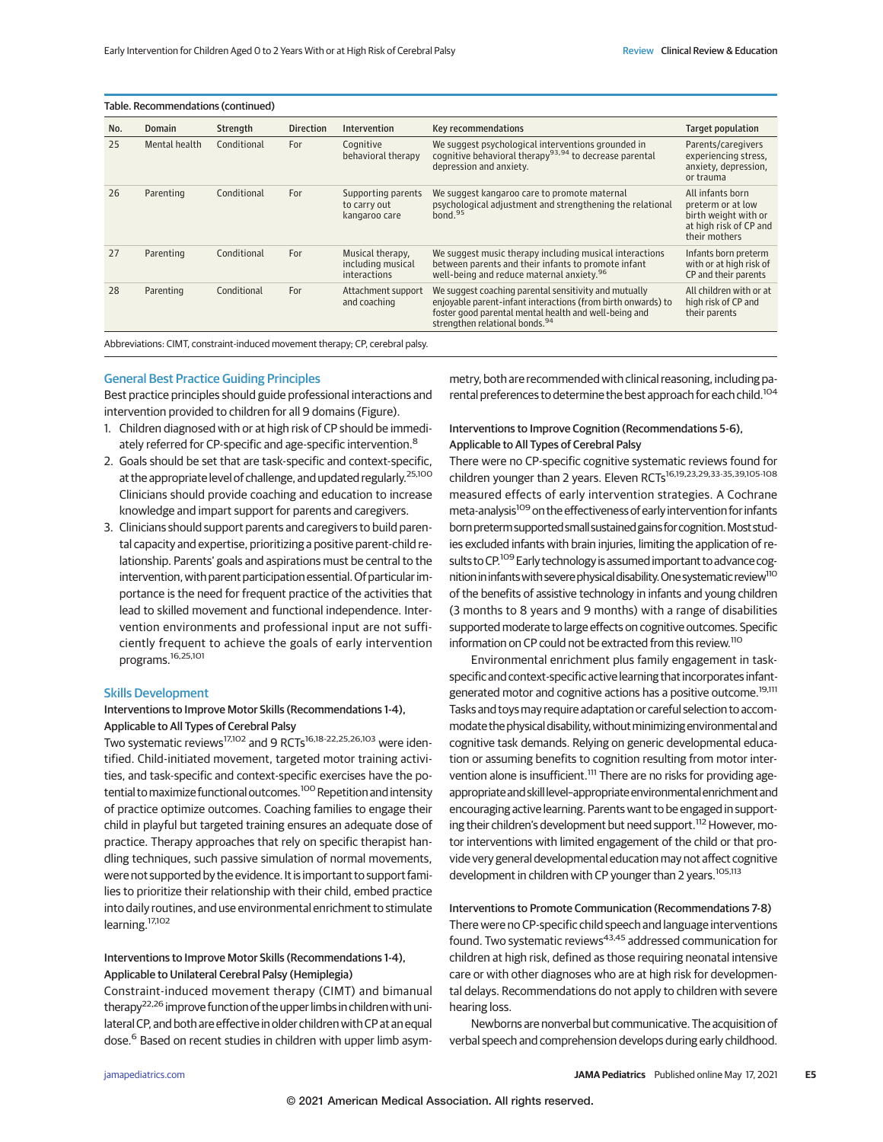| Table. Recommendations (continued) |               |             |                  |                                                              |                                                                                                                                                                                                                              |                                                                                                          |
|------------------------------------|---------------|-------------|------------------|--------------------------------------------------------------|------------------------------------------------------------------------------------------------------------------------------------------------------------------------------------------------------------------------------|----------------------------------------------------------------------------------------------------------|
| No.                                | <b>Domain</b> | Strength    | <b>Direction</b> | Intervention                                                 | Key recommendations                                                                                                                                                                                                          | Target population                                                                                        |
| 25                                 | Mental health | Conditional | For              | Cognitive<br>behavioral therapy                              | We suggest psychological interventions grounded in<br>cognitive behavioral therapy <sup>93,94</sup> to decrease parental<br>depression and anxiety.                                                                          | Parents/caregivers<br>experiencing stress,<br>anxiety, depression,<br>or trauma                          |
| 26                                 | Parenting     | Conditional | For              | Supporting parents<br>to carry out<br>kangaroo care          | We suggest kangaroo care to promote maternal<br>psychological adjustment and strengthening the relational<br>bond. <sup>95</sup>                                                                                             | All infants born<br>preterm or at low<br>birth weight with or<br>at high risk of CP and<br>their mothers |
| 27                                 | Parenting     | Conditional | For              | Musical therapy,<br>including musical<br><i>interactions</i> | We suggest music therapy including musical interactions<br>between parents and their infants to promote infant<br>well-being and reduce maternal anxiety. <sup>96</sup>                                                      | Infants born preterm<br>with or at high risk of<br>CP and their parents                                  |
| 28                                 | Parenting     | Conditional | For              | Attachment support<br>and coaching                           | We suggest coaching parental sensitivity and mutually<br>enjoyable parent-infant interactions (from birth onwards) to<br>foster good parental mental health and well-being and<br>strengthen relational bonds. <sup>94</sup> | All children with or at<br>high risk of CP and<br>their parents                                          |
|                                    |               |             |                  |                                                              |                                                                                                                                                                                                                              |                                                                                                          |

Abbreviations: CIMT, constraint-induced movement therapy; CP, cerebral palsy.

## General Best Practice Guiding Principles

Best practice principles should guide professional interactions and intervention provided to children for all 9 domains (Figure).

- 1. Children diagnosed with or at high risk of CP should be immediately referred for CP-specific and age-specific intervention.<sup>8</sup>
- 2. Goals should be set that are task-specific and context-specific, at the appropriate level of challenge, and updated regularly.25,100 Clinicians should provide coaching and education to increase knowledge and impart support for parents and caregivers.
- 3. Clinicians should support parents and caregivers to build parental capacity and expertise, prioritizing a positive parent-child relationship. Parents' goals and aspirations must be central to the intervention, with parent participation essential. Of particular importance is the need for frequent practice of the activities that lead to skilled movement and functional independence. Intervention environments and professional input are not sufficiently frequent to achieve the goals of early intervention programs.16,25,101

#### Skills Development

## Interventions to Improve Motor Skills (Recommendations 1-4), Applicable to All Types of Cerebral Palsy

Two systematic reviews<sup>17,102</sup> and 9 RCTs<sup>16,18-22,25,26,103</sup> were identified. Child-initiated movement, targeted motor training activities, and task-specific and context-specific exercises have the potential to maximize functional outcomes.<sup>100</sup> Repetition and intensity of practice optimize outcomes. Coaching families to engage their child in playful but targeted training ensures an adequate dose of practice. Therapy approaches that rely on specific therapist handling techniques, such passive simulation of normal movements, were not supported by the evidence. It is important to support families to prioritize their relationship with their child, embed practice into daily routines, and use environmental enrichment to stimulate learning.17,102

## Interventions to Improve Motor Skills (Recommendations 1-4), Applicable to Unilateral Cerebral Palsy (Hemiplegia)

Constraint-induced movement therapy (CIMT) and bimanual therapy<sup>22,26</sup> improve function of the upper limbs in children with unilateral CP, and both are effective in older children with CP at an equal dose.<sup>6</sup> Based on recent studies in children with upper limb asym-

metry, both are recommended with clinical reasoning, including parental preferences to determine the best approach for each child.104

## Interventions to Improve Cognition (Recommendations 5-6), Applicable to All Types of Cerebral Palsy

There were no CP-specific cognitive systematic reviews found for children younger than 2 years. Eleven RCTs<sup>16,19,23,29,33-35,39,105-108</sup> measured effects of early intervention strategies. A Cochrane meta-analysis<sup>109</sup> on the effectiveness of early intervention for infants born preterm supported small sustained gains for cognition. Most studies excluded infants with brain injuries, limiting the application of results to CP.<sup>109</sup> Early technology is assumed important to advance cognition in infants with severe physical disability. One systematic review<sup>110</sup> of the benefits of assistive technology in infants and young children (3 months to 8 years and 9 months) with a range of disabilities supported moderate to large effects on cognitive outcomes. Specific information on CP could not be extracted from this review.<sup>110</sup>

Environmental enrichment plus family engagement in taskspecific and context-specific active learning that incorporates infantgenerated motor and cognitive actions has a positive outcome.<sup>19,111</sup> Tasks and toys may require adaptation or careful selection to accommodate the physical disability, without minimizing environmental and cognitive task demands. Relying on generic developmental education or assuming benefits to cognition resulting from motor intervention alone is insufficient.<sup>111</sup> There are no risks for providing ageappropriate and skill level-appropriate environmental enrichment and encouraging active learning. Parents want to be engaged in supporting their children's development but need support.<sup>112</sup> However, motor interventions with limited engagement of the child or that provide very general developmental education may not affect cognitive development in children with CP younger than 2 years.<sup>105,113</sup>

Interventions to Promote Communication (Recommendations 7-8) There were no CP-specific child speech and language interventions found. Two systematic reviews<sup>43,45</sup> addressed communication for children at high risk, defined as those requiring neonatal intensive care or with other diagnoses who are at high risk for developmental delays. Recommendations do not apply to children with severe hearing loss.

Newborns are nonverbal but communicative. The acquisition of verbal speech and comprehension develops during early childhood.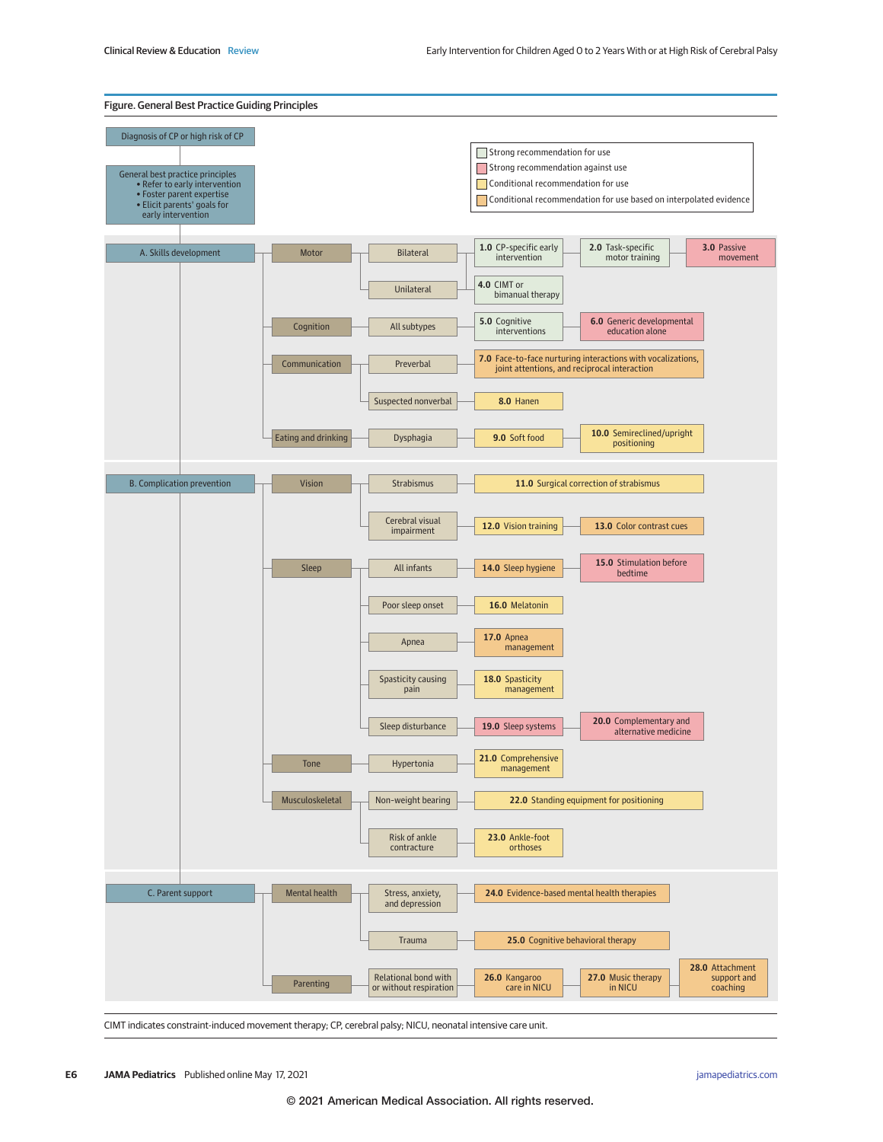

CIMT indicates constraint-induced movement therapy; CP, cerebral palsy; NICU, neonatal intensive care unit.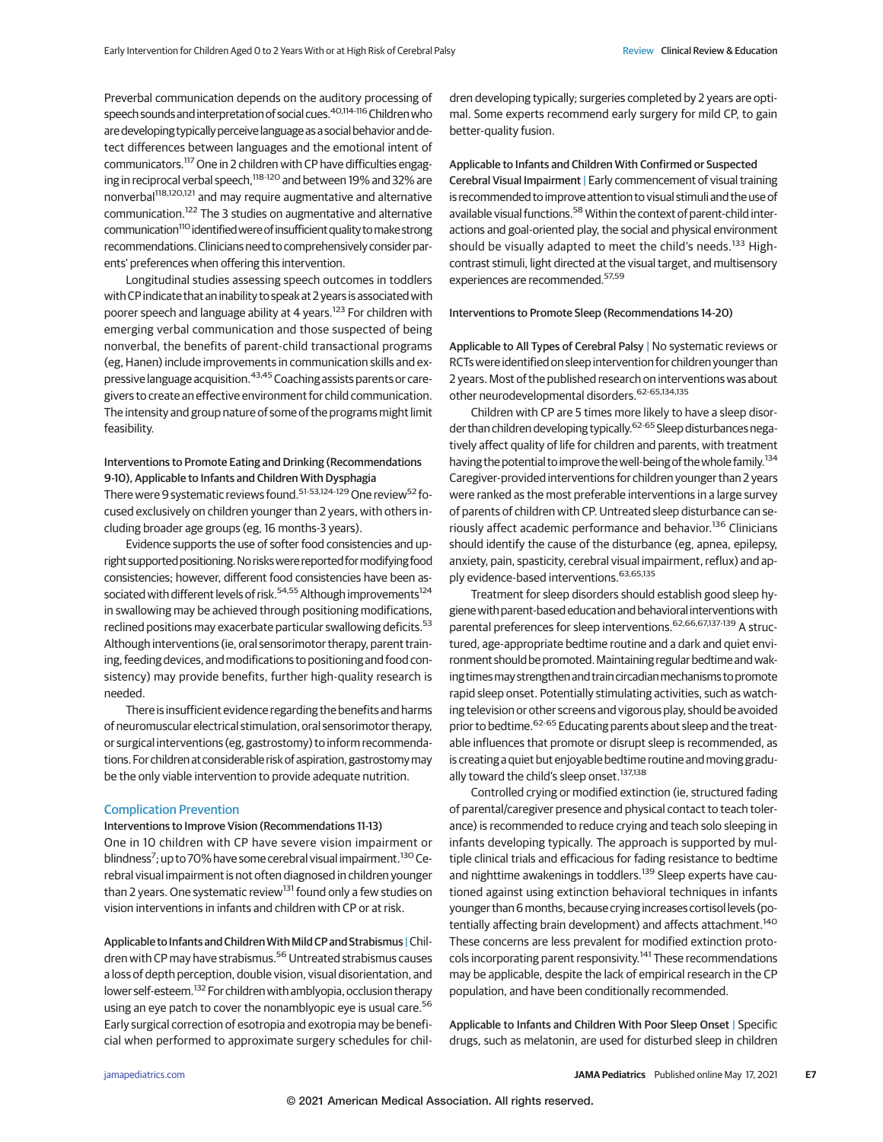Preverbal communication depends on the auditory processing of speech sounds and interpretation of social cues.<sup>40,114-116</sup> Children who are developing typically perceivelanguageasa social behaviorand detect differences between languages and the emotional intent of communicators.<sup>117</sup> One in 2 children with CP have difficulties engaging in reciprocal verbal speech,<sup>118-120</sup> and between 19% and 32% are nonverbal<sup>118,120,121</sup> and may require augmentative and alternative communication.122 The 3 studies on augmentative and alternative communication<sup>110</sup> identified were of insufficient quality to make strong recommendations. Clinicians need to comprehensively consider parents' preferences when offering this intervention.

Longitudinal studies assessing speech outcomes in toddlers with CP indicate that an inability to speak at 2 years is associated with poorer speech and language ability at 4 years.<sup>123</sup> For children with emerging verbal communication and those suspected of being nonverbal, the benefits of parent-child transactional programs (eg, Hanen) include improvements in communication skills and expressive language acquisition.<sup>43,45</sup> Coaching assists parents or caregivers to create an effective environment for child communication. The intensity and group nature of some of the programs might limit feasibility.

## Interventions to Promote Eating and Drinking (Recommendations 9-10), Applicable to Infants and Children With Dysphagia

There were 9 systematic reviews found.<sup>51-53,124-129</sup> One review<sup>52</sup> focused exclusively on children younger than 2 years, with others including broader age groups (eg, 16 months-3 years).

Evidence supports the use of softer food consistencies and upright supported positioning. No risks were reported for modifying food consistencies; however, different food consistencies have been associated with different levels of risk.<sup>54,55</sup> Although improvements<sup>124</sup> in swallowing may be achieved through positioning modifications, reclined positions may exacerbate particular swallowing deficits.<sup>53</sup> Although interventions (ie, oral sensorimotor therapy, parent training, feeding devices, and modifications to positioning and food consistency) may provide benefits, further high-quality research is needed.

There is insufficient evidence regarding the benefits and harms of neuromuscular electrical stimulation, oral sensorimotortherapy, or surgical interventions (eg, gastrostomy) to inform recommendations. For children at considerable risk of aspiration, gastrostomy may be the only viable intervention to provide adequate nutrition.

#### Complication Prevention

### Interventions to Improve Vision (Recommendations 11-13)

One in 10 children with CP have severe vision impairment or blindness<sup>7</sup>; up to 70% have some cerebral visual impairment.<sup>130</sup> Cerebral visual impairment is not often diagnosed in children younger than 2 years. One systematic review<sup>131</sup> found only a few studies on vision interventions in infants and children with CP or at risk.

Applicable to Infants and Children With Mild CP and Strabismus | Children with CP may have strabismus.<sup>56</sup> Untreated strabismus causes a loss of depth perception, double vision, visual disorientation, and lower self-esteem.<sup>132</sup> For children with amblyopia, occlusion therapy using an eye patch to cover the nonamblyopic eye is usual care.<sup>56</sup> Early surgical correction of esotropia and exotropia may be beneficial when performed to approximate surgery schedules for children developing typically; surgeries completed by 2 years are optimal. Some experts recommend early surgery for mild CP, to gain better-quality fusion.

Applicable to Infants and Children With Confirmed or Suspected Cerebral Visual Impairment | Early commencement of visual training is recommended to improve attention to visual stimuli and the use of available visual functions.<sup>58</sup> Within the context of parent-child interactions and goal-oriented play, the social and physical environment should be visually adapted to meet the child's needs.<sup>133</sup> Highcontrast stimuli, light directed at the visual target, and multisensory experiences are recommended.57,59

#### Interventions to Promote Sleep (Recommendations 14-20)

Applicable to All Types of Cerebral Palsy | No systematic reviews or RCTs were identified on sleep intervention for children younger than 2 years. Most of the published research on interventions was about other neurodevelopmental disorders.62-65,134,135

Children with CP are 5 times more likely to have a sleep disorder than children developing typically.<sup>62-65</sup> Sleep disturbances negatively affect quality of life for children and parents, with treatment having the potential to improve the well-being of the whole family.<sup>134</sup> Caregiver-provided interventions for children younger than 2 years were ranked as the most preferable interventions in a large survey of parents of children with CP. Untreated sleep disturbance can seriously affect academic performance and behavior.<sup>136</sup> Clinicians should identify the cause of the disturbance (eg, apnea, epilepsy, anxiety, pain, spasticity, cerebral visual impairment, reflux) and apply evidence-based interventions. 63,65,135

Treatment for sleep disorders should establish good sleep hygiene with parent-based education and behavioral interventions with parental preferences for sleep interventions.<sup>62,66,67,137-139</sup> A structured, age-appropriate bedtime routine and a dark and quiet environment should be promoted. Maintaining regular bedtime and waking times may strengthen and train circadian mechanisms to promote rapid sleep onset. Potentially stimulating activities, such as watching television or other screens and vigorous play, should be avoided prior to bedtime. <sup>62-65</sup> Educating parents about sleep and the treatable influences that promote or disrupt sleep is recommended, as is creating a quiet but enjoyable bedtime routine and moving gradually toward the child's sleep onset.<sup>137,138</sup>

Controlled crying or modified extinction (ie, structured fading of parental/caregiver presence and physical contact to teach tolerance) is recommended to reduce crying and teach solo sleeping in infants developing typically. The approach is supported by multiple clinical trials and efficacious for fading resistance to bedtime and nighttime awakenings in toddlers.<sup>139</sup> Sleep experts have cautioned against using extinction behavioral techniques in infants younger than 6months, because crying increases cortisol levels (potentially affecting brain development) and affects attachment.<sup>140</sup> These concerns are less prevalent for modified extinction protocols incorporating parent responsivity.<sup>141</sup> These recommendations may be applicable, despite the lack of empirical research in the CP population, and have been conditionally recommended.

Applicable to Infants and Children With Poor Sleep Onset | Specific drugs, such as melatonin, are used for disturbed sleep in children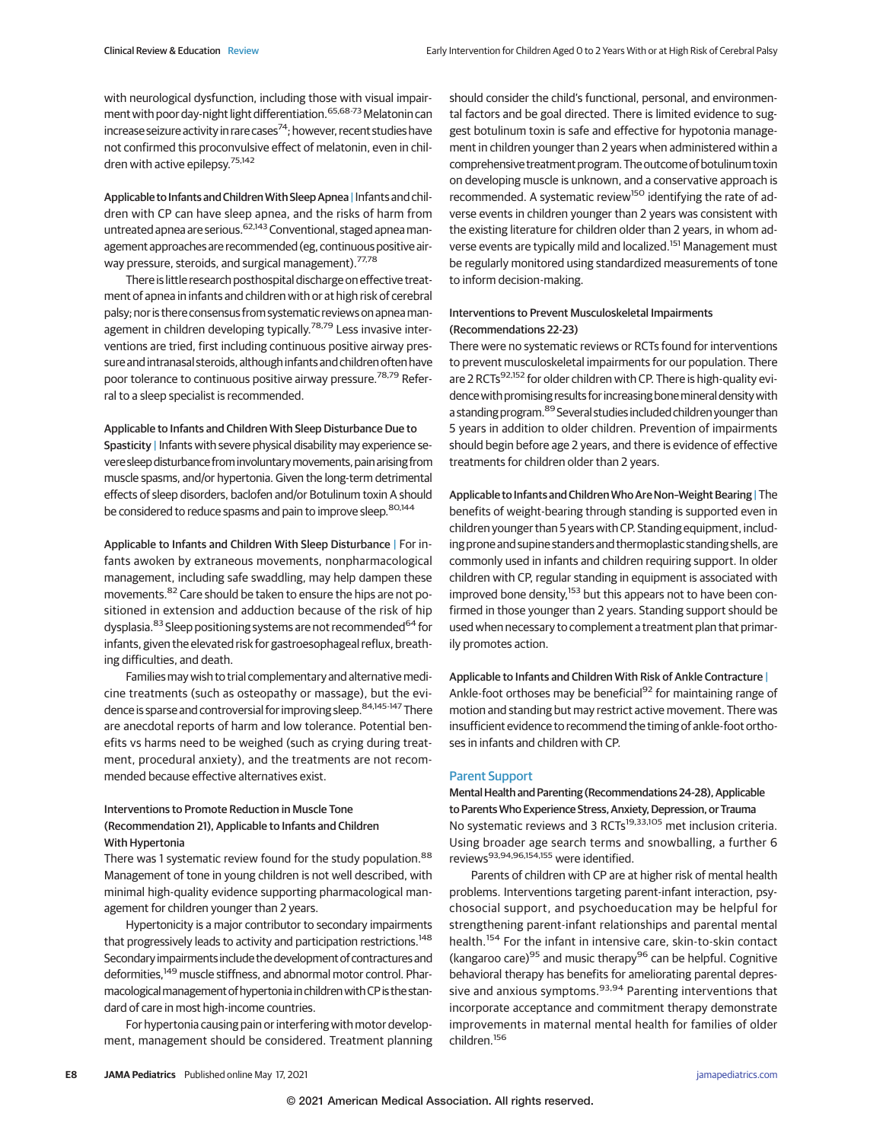with neurological dysfunction, including those with visual impairment with poor day-night light differentiation.<sup>65,68-73</sup> Melatonin can increase seizure activity in rare cases<sup>74</sup>; however, recent studies have not confirmed this proconvulsive effect of melatonin, even in children with active epilepsy.75,142

Applicable to Infants and Children With Sleep Apnea | Infants and children with CP can have sleep apnea, and the risks of harm from untreated apnea are serious.<sup>62,143</sup> Conventional, staged apnea management approaches are recommended (eg, continuous positive airway pressure, steroids, and surgical management).<sup>77,78</sup>

There is little research posthospital discharge on effective treatment of apnea in infants and children with or at high risk of cerebral palsy; nor is there consensus from systematic reviews on apneamanagement in children developing typically.<sup>78,79</sup> Less invasive interventions are tried, first including continuous positive airway pressure and intranasal steroids, although infants and children often have poor tolerance to continuous positive airway pressure.<sup>78,79</sup> Referral to a sleep specialist is recommended.

## Applicable to Infants and Children With Sleep Disturbance Due to

Spasticity | Infants with severe physical disability may experience severe sleepdisturbance frominvoluntarymovements,painarising from muscle spasms, and/or hypertonia. Given the long-term detrimental effects of sleep disorders, baclofen and/or Botulinum toxin A should be considered to reduce spasms and pain to improve sleep.<sup>80,144</sup>

Applicable to Infants and Children With Sleep Disturbance | For infants awoken by extraneous movements, nonpharmacological management, including safe swaddling, may help dampen these movements.<sup>82</sup> Care should be taken to ensure the hips are not positioned in extension and adduction because of the risk of hip dysplasia.<sup>83</sup> Sleep positioning systems are not recommended<sup>64</sup> for infants, given the elevated risk for gastroesophageal reflux, breathing difficulties, and death.

Families may wish to trial complementary and alternative medicine treatments (such as osteopathy or massage), but the evidence is sparse and controversial for improving sleep.<sup>84,145-147</sup> There are anecdotal reports of harm and low tolerance. Potential benefits vs harms need to be weighed (such as crying during treatment, procedural anxiety), and the treatments are not recommended because effective alternatives exist.

#### Interventions to Promote Reduction in Muscle Tone

(Recommendation 21), Applicable to Infants and Children With Hypertonia

There was 1 systematic review found for the study population.<sup>88</sup> Management of tone in young children is not well described, with minimal high-quality evidence supporting pharmacological management for children younger than 2 years.

Hypertonicity is a major contributor to secondary impairments that progressively leads to activity and participation restrictions.<sup>148</sup> Secondary impairments include the development of contractures and deformities,<sup>149</sup> muscle stiffness, and abnormal motor control. Pharmacological management of hypertonia in children with CP is the standard of care in most high-income countries.

For hypertonia causing pain or interfering with motor development, management should be considered. Treatment planning should consider the child's functional, personal, and environmental factors and be goal directed. There is limited evidence to suggest botulinum toxin is safe and effective for hypotonia management in children younger than 2 years when administered within a comprehensive treatment program. The outcome of botulinum toxin on developing muscle is unknown, and a conservative approach is recommended. A systematic review<sup>150</sup> identifying the rate of adverse events in children younger than 2 years was consistent with the existing literature for children older than 2 years, in whom adverse events are typically mild and localized.<sup>151</sup> Management must be regularly monitored using standardized measurements of tone to inform decision-making.

# Interventions to Prevent Musculoskeletal Impairments (Recommendations 22-23)

There were no systematic reviews or RCTs found for interventions to prevent musculoskeletal impairments for our population. There are 2 RCTs<sup>92,152</sup> for older children with CP. There is high-quality evidencewith promising results for increasing bonemineral densitywith a standing program. <sup>89</sup> Several studies included children younger than 5 years in addition to older children. Prevention of impairments should begin before age 2 years, and there is evidence of effective treatments for children older than 2 years.

Applicable to Infants and Children Who Are Non-Weight Bearing | The benefits of weight-bearing through standing is supported even in children younger than 5 years with CP. Standing equipment, including prone and supine standers and thermoplastic standing shells, are commonly used in infants and children requiring support. In older children with CP, regular standing in equipment is associated with improved bone density,<sup>153</sup> but this appears not to have been confirmed in those younger than 2 years. Standing support should be usedwhen necessary to complement a treatment plan that primarily promotes action.

Applicable to Infants and Children With Risk of Ankle Contracture | Ankle-foot orthoses may be beneficial<sup>92</sup> for maintaining range of motion and standing but may restrict active movement. There was insufficient evidence to recommend the timing of ankle-foot orthoses in infants and children with CP.

#### Parent Support

Mental Health and Parenting (Recommendations 24-28), Applicable to Parents Who Experience Stress, Anxiety, Depression, or Trauma No systematic reviews and 3 RCTs<sup>19,33,105</sup> met inclusion criteria. Using broader age search terms and snowballing, a further 6 reviews93,94,96,154,155 were identified.

Parents of children with CP are at higher risk of mental health problems. Interventions targeting parent-infant interaction, psychosocial support, and psychoeducation may be helpful for strengthening parent-infant relationships and parental mental health.<sup>154</sup> For the infant in intensive care, skin-to-skin contact (kangaroo care)<sup>95</sup> and music therapy<sup>96</sup> can be helpful. Cognitive behavioral therapy has benefits for ameliorating parental depressive and anxious symptoms.<sup>93,94</sup> Parenting interventions that incorporate acceptance and commitment therapy demonstrate improvements in maternal mental health for families of older children.<sup>156</sup>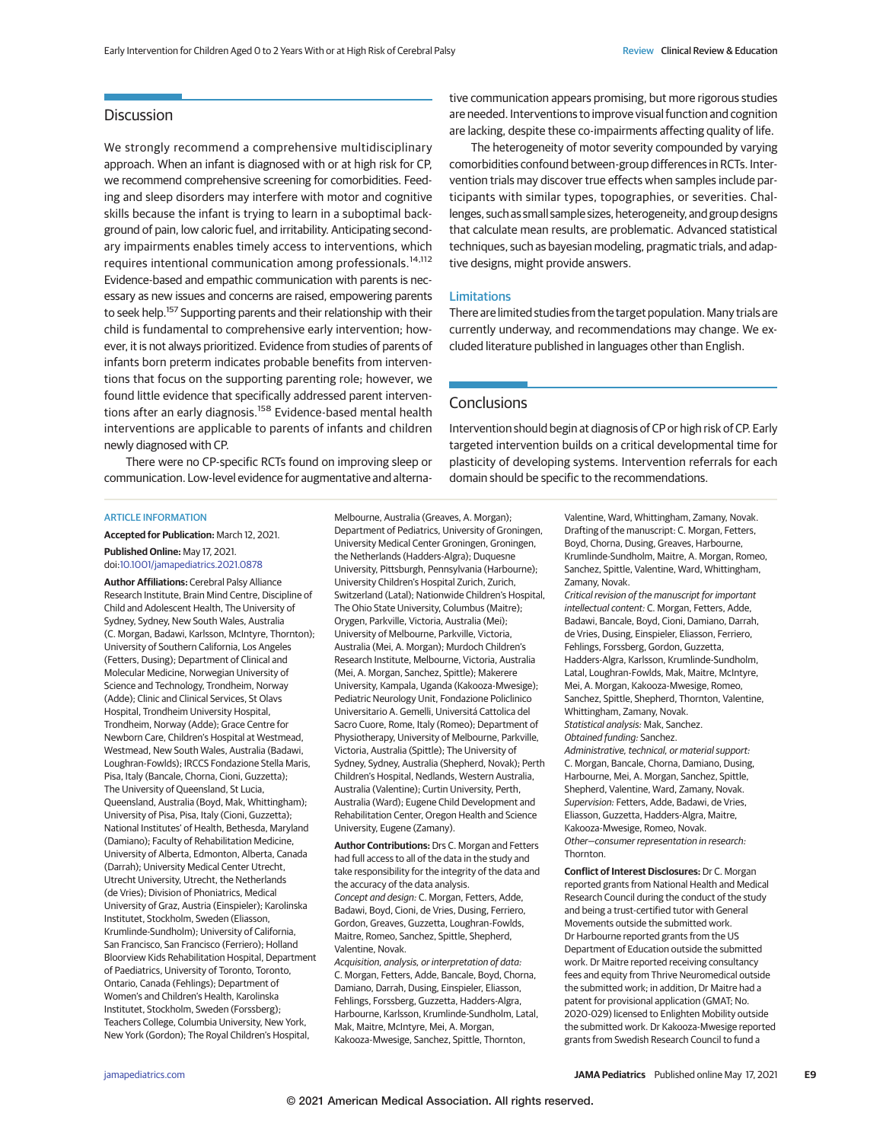# **Discussion**

We strongly recommend a comprehensive multidisciplinary approach. When an infant is diagnosed with or at high risk for CP, we recommend comprehensive screening for comorbidities. Feeding and sleep disorders may interfere with motor and cognitive skills because the infant is trying to learn in a suboptimal background of pain, low caloric fuel, and irritability. Anticipating secondary impairments enables timely access to interventions, which requires intentional communication among professionals.<sup>14,112</sup> Evidence-based and empathic communication with parents is necessary as new issues and concerns are raised, empowering parents to seek help.<sup>157</sup> Supporting parents and their relationship with their child is fundamental to comprehensive early intervention; however, it is not always prioritized. Evidence from studies of parents of infants born preterm indicates probable benefits from interventions that focus on the supporting parenting role; however, we found little evidence that specifically addressed parent interventions after an early diagnosis.<sup>158</sup> Evidence-based mental health interventions are applicable to parents of infants and children newly diagnosed with CP.

There were no CP-specific RCTs found on improving sleep or communication. Low-level evidence for augmentative and alterna-

#### ARTICLE INFORMATION

**Accepted for Publication:** March 12, 2021.

#### **Published Online:** May 17, 2021. doi[:10.1001/jamapediatrics.2021.0878](https://jamanetwork.com/journals/jama/fullarticle/10.1001/jamapediatrics.2021.0878?utm_campaign=articlePDF%26utm_medium=articlePDFlink%26utm_source=articlePDF%26utm_content=jamapediatrics.2021.0878)

**Author Affiliations:** Cerebral Palsy Alliance Research Institute, Brain Mind Centre, Discipline of Child and Adolescent Health, The University of Sydney, Sydney, New South Wales, Australia (C. Morgan, Badawi, Karlsson, McIntyre, Thornton); University of Southern California, Los Angeles (Fetters, Dusing); Department of Clinical and Molecular Medicine, Norwegian University of Science and Technology, Trondheim, Norway (Adde); Clinic and Clinical Services, St Olavs Hospital, Trondheim University Hospital, Trondheim, Norway (Adde); Grace Centre for Newborn Care, Children's Hospital at Westmead, Westmead, New South Wales, Australia (Badawi, Loughran-Fowlds); IRCCS Fondazione Stella Maris, Pisa, Italy (Bancale, Chorna, Cioni, Guzzetta); The University of Queensland, St Lucia, Queensland, Australia (Boyd, Mak, Whittingham); University of Pisa, Pisa, Italy (Cioni, Guzzetta); National Institutes' of Health, Bethesda, Maryland (Damiano); Faculty of Rehabilitation Medicine, University of Alberta, Edmonton, Alberta, Canada (Darrah); University Medical Center Utrecht, Utrecht University, Utrecht, the Netherlands (de Vries); Division of Phoniatrics, Medical University of Graz, Austria (Einspieler); Karolinska Institutet, Stockholm, Sweden (Eliasson, Krumlinde-Sundholm); University of California, San Francisco, San Francisco (Ferriero); Holland Bloorview Kids Rehabilitation Hospital, Department of Paediatrics, University of Toronto, Toronto, Ontario, Canada (Fehlings); Department of Women's and Children's Health, Karolinska Institutet, Stockholm, Sweden (Forssberg); Teachers College, Columbia University, New York, New York (Gordon); The Royal Children's Hospital,

Melbourne, Australia (Greaves, A. Morgan); Department of Pediatrics, University of Groningen, University Medical Center Groningen, Groningen, the Netherlands (Hadders-Algra); Duquesne University, Pittsburgh, Pennsylvania (Harbourne); University Children's Hospital Zurich, Zurich, Switzerland (Latal); Nationwide Children's Hospital, The Ohio State University, Columbus (Maitre); Orygen, Parkville, Victoria, Australia (Mei); University of Melbourne, Parkville, Victoria, Australia (Mei, A. Morgan); Murdoch Children's Research Institute, Melbourne, Victoria, Australia (Mei, A. Morgan, Sanchez, Spittle); Makerere University, Kampala, Uganda (Kakooza-Mwesige); Pediatric Neurology Unit, Fondazione Policlinico Universitario A. Gemelli, Universitá Cattolica del Sacro Cuore, Rome, Italy (Romeo); Department of Physiotherapy, University of Melbourne, Parkville, Victoria, Australia (Spittle); The University of Sydney, Sydney, Australia (Shepherd, Novak); Perth Children's Hospital, Nedlands, Western Australia, Australia (Valentine); Curtin University, Perth, Australia (Ward); Eugene Child Development and Rehabilitation Center, Oregon Health and Science University, Eugene (Zamany).

**Author Contributions:** Drs C. Morgan and Fetters had full access to all of the data in the study and take responsibility for the integrity of the data and the accuracy of the data analysis. Concept and design: C. Morgan, Fetters, Adde, Badawi, Boyd, Cioni, de Vries, Dusing, Ferriero, Gordon, Greaves, Guzzetta, Loughran-Fowlds, Maitre, Romeo, Sanchez, Spittle, Shepherd, Valentine, Novak.

Acquisition, analysis, or interpretation of data: C. Morgan, Fetters, Adde, Bancale, Boyd, Chorna, Damiano, Darrah, Dusing, Einspieler, Eliasson, Fehlings, Forssberg, Guzzetta, Hadders-Algra, Harbourne, Karlsson, Krumlinde-Sundholm, Latal, Mak, Maitre, McIntyre, Mei, A. Morgan, Kakooza-Mwesige, Sanchez, Spittle, Thornton,

tive communication appears promising, but more rigorous studies are needed. Interventions to improve visual function and cognition are lacking, despite these co-impairments affecting quality of life.

The heterogeneity of motor severity compounded by varying comorbidities confound between-group differences in RCTs. Intervention trials may discover true effects when samples include participants with similar types, topographies, or severities. Challenges, such as small sample sizes, heterogeneity, and group designs that calculate mean results, are problematic. Advanced statistical techniques, such as bayesian modeling, pragmatic trials, and adaptive designs, might provide answers.

#### Limitations

There are limited studies from the target population. Many trials are currently underway, and recommendations may change. We excluded literature published in languages other than English.

## **Conclusions**

Intervention should begin at diagnosis of CP or high risk of CP. Early targeted intervention builds on a critical developmental time for plasticity of developing systems. Intervention referrals for each domain should be specific to the recommendations.

> Valentine, Ward, Whittingham, Zamany, Novak. Drafting of the manuscript: C. Morgan, Fetters, Boyd, Chorna, Dusing, Greaves, Harbourne, Krumlinde-Sundholm, Maitre, A. Morgan, Romeo, Sanchez, Spittle, Valentine, Ward, Whittingham, Zamany, Novak.

Critical revision of the manuscript for important intellectual content: C. Morgan, Fetters, Adde, Badawi, Bancale, Boyd, Cioni, Damiano, Darrah, de Vries, Dusing, Einspieler, Eliasson, Ferriero, Fehlings, Forssberg, Gordon, Guzzetta, Hadders-Algra, Karlsson, Krumlinde-Sundholm, Latal, Loughran-Fowlds, Mak, Maitre, McIntyre, Mei, A. Morgan, Kakooza-Mwesige, Romeo, Sanchez, Spittle, Shepherd, Thornton, Valentine, Whittingham, Zamany, Novak. Statistical analysis: Mak, Sanchez. Obtained funding: Sanchez. Administrative, technical, or material support: C. Morgan, Bancale, Chorna, Damiano, Dusing, Harbourne, Mei, A. Morgan, Sanchez, Spittle, Shepherd, Valentine, Ward, Zamany, Novak. Supervision: Fetters, Adde, Badawi, de Vries, Eliasson, Guzzetta, Hadders-Algra, Maitre, Kakooza-Mwesige, Romeo, Novak. Other—consumer representation in research: **Thornton** 

**Conflict of Interest Disclosures:** Dr C. Morgan reported grants from National Health and Medical Research Council during the conduct of the study and being a trust-certified tutor with General Movements outside the submitted work. Dr Harbourne reported grants from the US Department of Education outside the submitted work. Dr Maitre reported receiving consultancy fees and equity from Thrive Neuromedical outside the submitted work; in addition, Dr Maitre had a patent for provisional application (GMAT; No. 2020-029) licensed to Enlighten Mobility outside the submitted work. Dr Kakooza-Mwesige reported grants from Swedish Research Council to fund a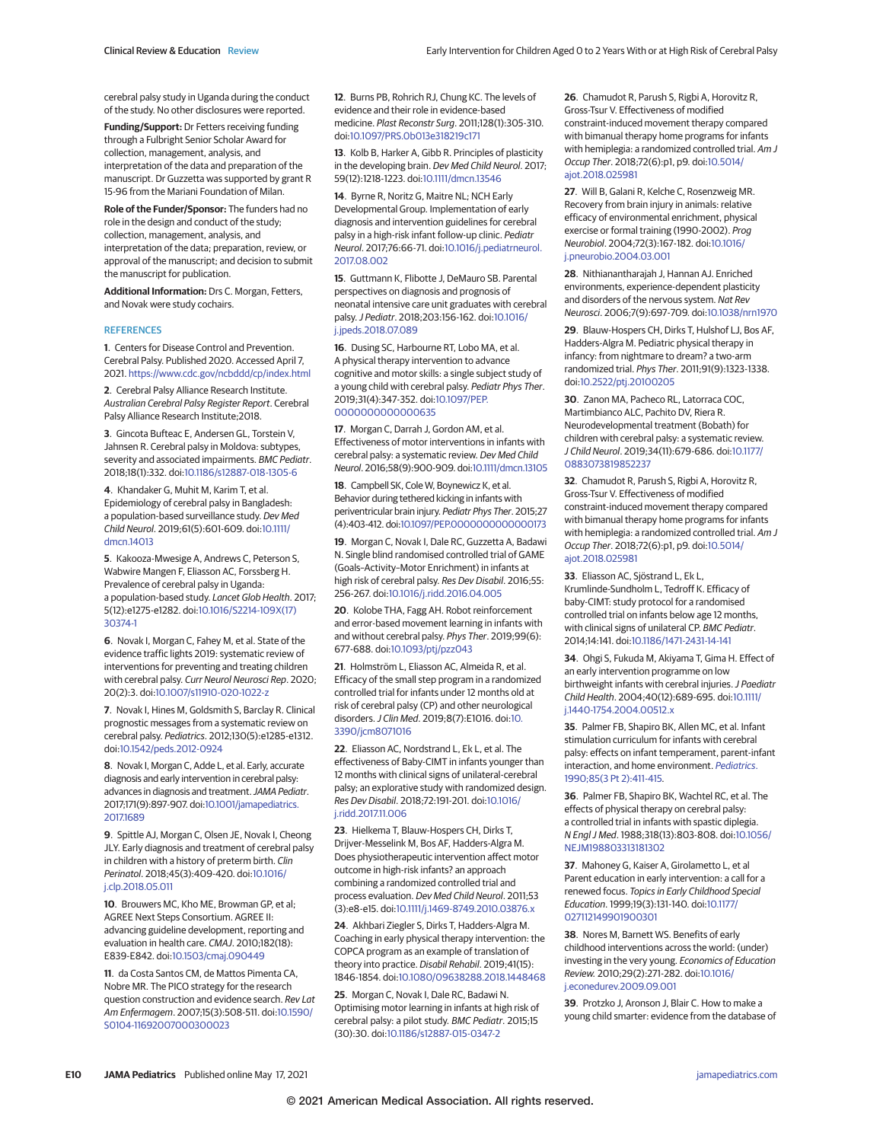cerebral palsy study in Uganda during the conduct of the study. No other disclosures were reported.

**Funding/Support:** Dr Fetters receiving funding through a Fulbright Senior Scholar Award for collection, management, analysis, and interpretation of the data and preparation of the manuscript. Dr Guzzetta was supported by grant R 15-96 from the Mariani Foundation of Milan.

**Role of the Funder/Sponsor:** The funders had no role in the design and conduct of the study; collection, management, analysis, and interpretation of the data; preparation, review, or approval of the manuscript; and decision to submit the manuscript for publication.

**Additional Information:** Drs C. Morgan, Fetters, and Novak were study cochairs.

#### **REFERENCES**

**1**. Centers for Disease Control and Prevention. Cerebral Palsy. Published 2020. Accessed April 7, 2021. <https://www.cdc.gov/ncbddd/cp/index.html>

**2**. Cerebral Palsy Alliance Research Institute. Australian Cerebral Palsy Register Report. Cerebral Palsy Alliance Research Institute;2018.

**3**. Gincota Bufteac E, Andersen GL, Torstein V, Jahnsen R. Cerebral palsy in Moldova: subtypes, severity and associated impairments. BMC Pediatr. 2018;18(1):332. doi[:10.1186/s12887-018-1305-6](https://dx.doi.org/10.1186/s12887-018-1305-6)

**4**. Khandaker G, Muhit M, Karim T, et al. Epidemiology of cerebral palsy in Bangladesh: a population-based surveillance study. Dev Med Child Neurol. 2019;61(5):601-609. doi[:10.1111/](https://dx.doi.org/10.1111/dmcn.14013) [dmcn.14013](https://dx.doi.org/10.1111/dmcn.14013)

**5**. Kakooza-Mwesige A, Andrews C, Peterson S, Wabwire Mangen F, Eliasson AC, Forssberg H. Prevalence of cerebral palsy in Uganda: a population-based study. Lancet Glob Health. 2017; 5(12):e1275-e1282. doi[:10.1016/S2214-109X\(17\)](https://dx.doi.org/10.1016/S2214-109X(17)30374-1) [30374-1](https://dx.doi.org/10.1016/S2214-109X(17)30374-1)

**6**. Novak I, Morgan C, Fahey M, et al. State of the evidence traffic lights 2019: systematic review of interventions for preventing and treating children with cerebral palsy. Curr Neurol Neurosci Rep. 2020; 20(2):3. doi[:10.1007/s11910-020-1022-z](https://dx.doi.org/10.1007/s11910-020-1022-z)

**7**. Novak I, Hines M, Goldsmith S, Barclay R. Clinical prognostic messages from a systematic review on cerebral palsy. Pediatrics. 2012;130(5):e1285-e1312. doi[:10.1542/peds.2012-0924](https://dx.doi.org/10.1542/peds.2012-0924)

**8**. Novak I, Morgan C, Adde L, et al. Early, accurate diagnosis and early intervention in cerebral palsy: advances in diagnosis and treatment. JAMA Pediatr. 2017;171(9):897-907. doi[:10.1001/jamapediatrics.](https://jamanetwork.com/journals/jama/fullarticle/10.1001/jamapediatrics.2017.1689?utm_campaign=articlePDF%26utm_medium=articlePDFlink%26utm_source=articlePDF%26utm_content=jamapediatrics.2021.0878) [2017.1689](https://jamanetwork.com/journals/jama/fullarticle/10.1001/jamapediatrics.2017.1689?utm_campaign=articlePDF%26utm_medium=articlePDFlink%26utm_source=articlePDF%26utm_content=jamapediatrics.2021.0878)

**9**. Spittle AJ, Morgan C, Olsen JE, Novak I, Cheong JLY. Early diagnosis and treatment of cerebral palsy in children with a history of preterm birth. Clin Perinatol. 2018;45(3):409-420. doi[:10.1016/](https://dx.doi.org/10.1016/j.clp.2018.05.011) [j.clp.2018.05.011](https://dx.doi.org/10.1016/j.clp.2018.05.011)

**10**. Brouwers MC, Kho ME, Browman GP, et al; AGREE Next Steps Consortium. AGREE II: advancing guideline development, reporting and evaluation in health care. CMAJ. 2010;182(18): E839-E842. doi[:10.1503/cmaj.090449](https://dx.doi.org/10.1503/cmaj.090449)

**11**. da Costa Santos CM, de Mattos Pimenta CA, Nobre MR. The PICO strategy for the research question construction and evidence search. Rev Lat Am Enfermagem. 2007;15(3):508-511. doi[:10.1590/](https://dx.doi.org/10.1590/S0104-11692007000300023) [S0104-11692007000300023](https://dx.doi.org/10.1590/S0104-11692007000300023)

**12**. Burns PB, Rohrich RJ, Chung KC. The levels of evidence and their role in evidence-based medicine. Plast Reconstr Surg. 2011;128(1):305-310. doi[:10.1097/PRS.0b013e318219c171](https://dx.doi.org/10.1097/PRS.0b013e318219c171)

**13**. Kolb B, Harker A, Gibb R. Principles of plasticity in the developing brain. Dev Med Child Neurol. 2017; 59(12):1218-1223. doi[:10.1111/dmcn.13546](https://dx.doi.org/10.1111/dmcn.13546)

**14**. Byrne R, Noritz G, Maitre NL; NCH Early Developmental Group. Implementation of early diagnosis and intervention guidelines for cerebral palsy in a high-risk infant follow-up clinic. Pediatr Neurol. 2017;76:66-71. doi[:10.1016/j.pediatrneurol.](https://dx.doi.org/10.1016/j.pediatrneurol.2017.08.002) [2017.08.002](https://dx.doi.org/10.1016/j.pediatrneurol.2017.08.002)

**15**. Guttmann K, Flibotte J, DeMauro SB. Parental perspectives on diagnosis and prognosis of neonatal intensive care unit graduates with cerebral palsy.J Pediatr. 2018;203:156-162. doi[:10.1016/](https://dx.doi.org/10.1016/j.jpeds.2018.07.089) [j.jpeds.2018.07.089](https://dx.doi.org/10.1016/j.jpeds.2018.07.089)

**16**. Dusing SC, Harbourne RT, Lobo MA, et al. A physical therapy intervention to advance cognitive and motor skills: a single subject study of a young child with cerebral palsy. Pediatr Phys Ther. 2019;31(4):347-352. doi[:10.1097/PEP.](https://dx.doi.org/10.1097/PEP.0000000000000635) [0000000000000635](https://dx.doi.org/10.1097/PEP.0000000000000635)

**17**. Morgan C, Darrah J, Gordon AM, et al. Effectiveness of motor interventions in infants with cerebral palsy: a systematic review. Dev Med Child Neurol. 2016;58(9):900-909. doi[:10.1111/dmcn.13105](https://dx.doi.org/10.1111/dmcn.13105)

**18**. Campbell SK, Cole W, Boynewicz K, et al. Behavior during tethered kicking in infants with periventricular brain injury. Pediatr Phys Ther. 2015;27 (4):403-412. doi[:10.1097/PEP.0000000000000173](https://dx.doi.org/10.1097/PEP.0000000000000173)

**19**. Morgan C, Novak I, Dale RC, Guzzetta A, Badawi N. Single blind randomised controlled trial of GAME (Goals–Activity–Motor Enrichment) in infants at high risk of cerebral palsy. Res Dev Disabil. 2016;55: 256-267. doi[:10.1016/j.ridd.2016.04.005](https://dx.doi.org/10.1016/j.ridd.2016.04.005)

**20**. Kolobe THA, Fagg AH. Robot reinforcement and error-based movement learning in infants with and without cerebral palsy. Phys Ther. 2019;99(6): 677-688. doi[:10.1093/ptj/pzz043](https://dx.doi.org/10.1093/ptj/pzz043)

**21**. Holmström L, Eliasson AC, Almeida R, et al. Efficacy of the small step program in a randomized controlled trial for infants under 12 months old at risk of cerebral palsy (CP) and other neurological disorders.J Clin Med. 2019;8(7):E1016. doi[:10.](https://dx.doi.org/10.3390/jcm8071016) [3390/jcm8071016](https://dx.doi.org/10.3390/jcm8071016)

**22**. Eliasson AC, Nordstrand L, Ek L, et al. The effectiveness of Baby-CIMT in infants younger than 12 months with clinical signs of unilateral-cerebral palsy; an explorative study with randomized design. Res Dev Disabil. 2018;72:191-201. doi[:10.1016/](https://dx.doi.org/10.1016/j.ridd.2017.11.006) [j.ridd.2017.11.006](https://dx.doi.org/10.1016/j.ridd.2017.11.006)

**23**. Hielkema T, Blauw-Hospers CH, Dirks T, Drijver-Messelink M, Bos AF, Hadders-Algra M. Does physiotherapeutic intervention affect motor outcome in high-risk infants? an approach combining a randomized controlled trial and process evaluation. Dev Med Child Neurol. 2011;53 (3):e8-e15. doi[:10.1111/j.1469-8749.2010.03876.x](https://dx.doi.org/10.1111/j.1469-8749.2010.03876.x)

**24**. Akhbari Ziegler S, Dirks T, Hadders-Algra M. Coaching in early physical therapy intervention: the COPCA program as an example of translation of theory into practice. Disabil Rehabil. 2019;41(15): 1846-1854. doi[:10.1080/09638288.2018.1448468](https://dx.doi.org/10.1080/09638288.2018.1448468)

**25**. Morgan C, Novak I, Dale RC, Badawi N. Optimising motor learning in infants at high risk of cerebral palsy: a pilot study. BMC Pediatr. 2015;15 (30):30. doi[:10.1186/s12887-015-0347-2](https://dx.doi.org/10.1186/s12887-015-0347-2)

**26**. Chamudot R, Parush S, Rigbi A, Horovitz R, Gross-Tsur V. Effectiveness of modified constraint-induced movement therapy compared with bimanual therapy home programs for infants with hemiplegia: a randomized controlled trial. Am J Occup Ther. 2018;72(6):p1, p9. doi[:10.5014/](https://dx.doi.org/10.5014/ajot.2018.025981) [ajot.2018.025981](https://dx.doi.org/10.5014/ajot.2018.025981)

**27**. Will B, Galani R, Kelche C, Rosenzweig MR. Recovery from brain injury in animals: relative efficacy of environmental enrichment, physical exercise or formal training (1990-2002). Prog Neurobiol. 2004;72(3):167-182. doi[:10.1016/](https://dx.doi.org/10.1016/j.pneurobio.2004.03.001) [j.pneurobio.2004.03.001](https://dx.doi.org/10.1016/j.pneurobio.2004.03.001)

**28**. Nithianantharajah J, Hannan AJ. Enriched environments, experience-dependent plasticity and disorders of the nervous system. Nat Rev Neurosci. 2006;7(9):697-709. doi[:10.1038/nrn1970](https://dx.doi.org/10.1038/nrn1970)

**29**. Blauw-Hospers CH, Dirks T, Hulshof LJ, Bos AF, Hadders-Algra M. Pediatric physical therapy in infancy: from nightmare to dream? a two-arm randomized trial. Phys Ther. 2011;91(9):1323-1338. doi[:10.2522/ptj.20100205](https://dx.doi.org/10.2522/ptj.20100205)

**30**. Zanon MA, Pacheco RL, Latorraca COC, Martimbianco ALC, Pachito DV, Riera R. Neurodevelopmental treatment (Bobath) for children with cerebral palsy: a systematic review. J Child Neurol. 2019;34(11):679-686. doi[:10.1177/](https://dx.doi.org/10.1177/0883073819852237) [0883073819852237](https://dx.doi.org/10.1177/0883073819852237)

**32**. Chamudot R, Parush S, Rigbi A, Horovitz R, Gross-Tsur V. Effectiveness of modified constraint-induced movement therapy compared with bimanual therapy home programs for infants with hemiplegia: a randomized controlled trial. Am J Occup Ther. 2018;72(6):p1, p9. doi[:10.5014/](https://dx.doi.org/10.5014/ajot.2018.025981) [ajot.2018.025981](https://dx.doi.org/10.5014/ajot.2018.025981)

**33**. Eliasson AC, Sjöstrand L, Ek L, Krumlinde-Sundholm L, Tedroff K. Efficacy of baby-CIMT: study protocol for a randomised controlled trial on infants below age 12 months, with clinical signs of unilateral CP. BMC Pediatr. 2014;14:141. doi[:10.1186/1471-2431-14-141](https://dx.doi.org/10.1186/1471-2431-14-141)

**34**. Ohgi S, Fukuda M, Akiyama T, Gima H. Effect of an early intervention programme on low birthweight infants with cerebral injuries. J Paediatr Child Health. 2004;40(12):689-695. doi[:10.1111/](https://dx.doi.org/10.1111/j.1440-1754.2004.00512.x) [j.1440-1754.2004.00512.x](https://dx.doi.org/10.1111/j.1440-1754.2004.00512.x)

**35**. Palmer FB, Shapiro BK, Allen MC, et al. Infant stimulation curriculum for infants with cerebral palsy: effects on infant temperament, parent-infant interaction, and home environment. [Pediatrics](https://www.ncbi.nlm.nih.gov/pubmed/2406695). [1990;85\(3](https://www.ncbi.nlm.nih.gov/pubmed/2406695) Pt 2):411-415.

**36**. Palmer FB, Shapiro BK, Wachtel RC, et al. The effects of physical therapy on cerebral palsy: a controlled trial in infants with spastic diplegia. N EnglJ Med. 1988;318(13):803-808. doi[:10.1056/](https://dx.doi.org/10.1056/NEJM198803313181302) [NEJM198803313181302](https://dx.doi.org/10.1056/NEJM198803313181302)

**37**. Mahoney G, Kaiser A, Girolametto L, et al Parent education in early intervention: a call for a renewed focus. Topics in Early Childhood Special Education. 1999;19(3):131-140. doi[:10.1177/](https://dx.doi.org/10.1177/027112149901900301) [027112149901900301](https://dx.doi.org/10.1177/027112149901900301)

**38**. Nores M, Barnett WS. Benefits of early childhood interventions across the world: (under) investing in the very young. Economics of Education Review. 2010;29(2):271-282. doi[:10.1016/](https://dx.doi.org/10.1016/j.econedurev.2009.09.001) [j.econedurev.2009.09.001](https://dx.doi.org/10.1016/j.econedurev.2009.09.001)

**39**. Protzko J, Aronson J, Blair C. How to make a young child smarter: evidence from the database of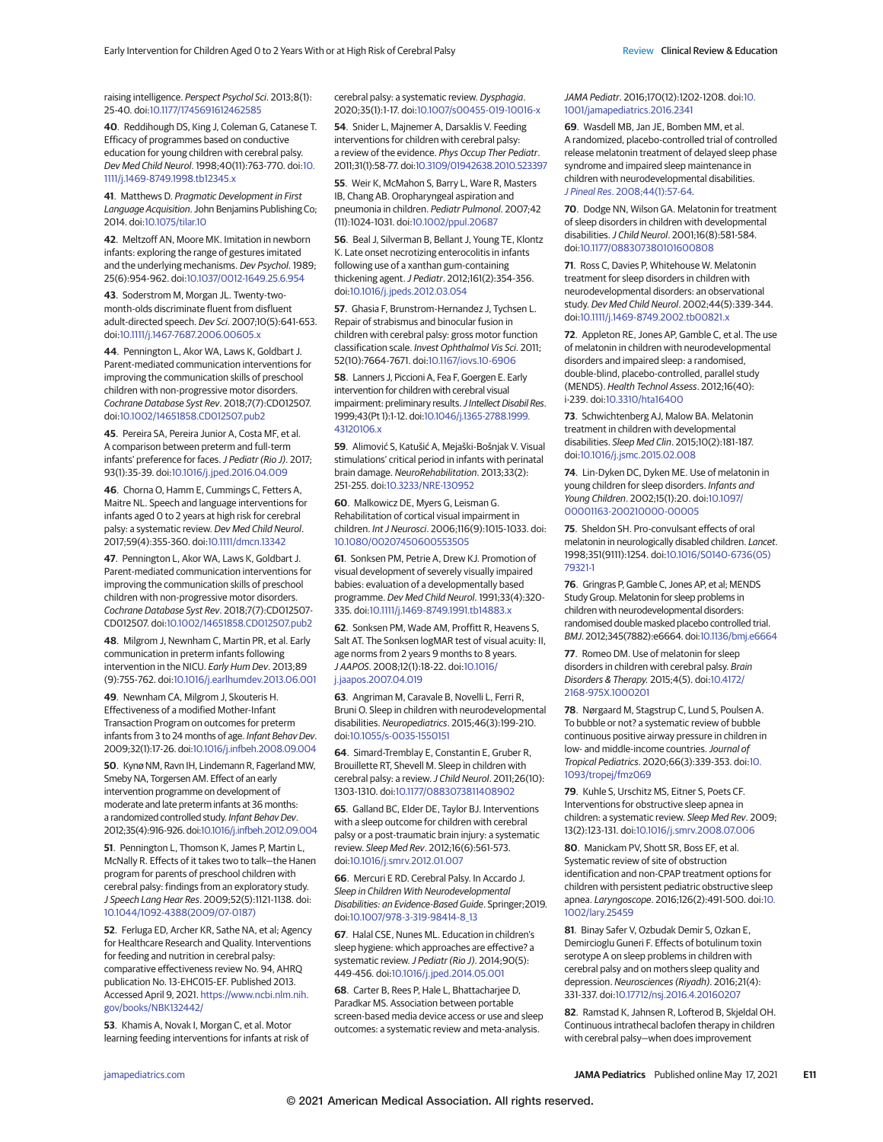raising intelligence. Perspect Psychol Sci. 2013;8(1): 25-40. doi[:10.1177/1745691612462585](https://dx.doi.org/10.1177/1745691612462585)

**40**. Reddihough DS, King J, Coleman G, Catanese T. Efficacy of programmes based on conductive education for young children with cerebral palsy. Dev Med Child Neurol. 1998;40(11):763-770. doi[:10.](https://dx.doi.org/10.1111/j.1469-8749.1998.tb12345.x) [1111/j.1469-8749.1998.tb12345.x](https://dx.doi.org/10.1111/j.1469-8749.1998.tb12345.x)

**41**. Matthews D. Pragmatic Development in First Language Acquisition. John Benjamins Publishing Co; 2014. doi[:10.1075/tilar.10](https://dx.doi.org/10.1075/tilar.10)

**42**. Meltzoff AN, Moore MK. Imitation in newborn infants: exploring the range of gestures imitated and the underlying mechanisms. Dev Psychol. 1989; 25(6):954-962. doi[:10.1037/0012-1649.25.6.954](https://dx.doi.org/10.1037/0012-1649.25.6.954)

**43**. Soderstrom M, Morgan JL. Twenty-twomonth-olds discriminate fluent from disfluent adult-directed speech. Dev Sci. 2007;10(5):641-653. doi[:10.1111/j.1467-7687.2006.00605.x](https://dx.doi.org/10.1111/j.1467-7687.2006.00605.x)

**44**. Pennington L, Akor WA, Laws K, Goldbart J. Parent-mediated communication interventions for improving the communication skills of preschool children with non-progressive motor disorders. Cochrane Database Syst Rev. 2018;7(7):CD012507. doi[:10.1002/14651858.CD012507.pub2](https://dx.doi.org/10.1002/14651858.CD012507.pub2)

**45**. Pereira SA, Pereira Junior A, Costa MF, et al. A comparison between preterm and full-term infants' preference for faces. J Pediatr (Rio J). 2017; 93(1):35-39. doi[:10.1016/j.jped.2016.04.009](https://dx.doi.org/10.1016/j.jped.2016.04.009)

**46**. Chorna O, Hamm E, Cummings C, Fetters A, Maitre NL. Speech and language interventions for infants aged 0 to 2 years at high risk for cerebral palsy: a systematic review. Dev Med Child Neurol. 2017;59(4):355-360. doi[:10.1111/dmcn.13342](https://dx.doi.org/10.1111/dmcn.13342)

**47**. Pennington L, Akor WA, Laws K, Goldbart J. Parent-mediated communication interventions for improving the communication skills of preschool children with non-progressive motor disorders. Cochrane Database Syst Rev. 2018;7(7):CD012507- CD012507. doi[:10.1002/14651858.CD012507.pub2](https://dx.doi.org/10.1002/14651858.CD012507.pub2)

**48**. Milgrom J, Newnham C, Martin PR, et al. Early communication in preterm infants following intervention in the NICU. Early Hum Dev. 2013;89 (9):755-762. doi[:10.1016/j.earlhumdev.2013.06.001](https://dx.doi.org/10.1016/j.earlhumdev.2013.06.001)

**49**. Newnham CA, Milgrom J, Skouteris H. Effectiveness of a modified Mother-Infant Transaction Program on outcomes for preterm infants from 3 to 24 months of age. Infant Behav Dev. 2009;32(1):17-26. doi[:10.1016/j.infbeh.2008.09.004](https://dx.doi.org/10.1016/j.infbeh.2008.09.004)

50. Kynø NM, Ravn IH, Lindemann R, Fagerland MW, Smeby NA, Torgersen AM. Effect of an early intervention programme on development of moderate and late preterm infants at 36 months: a randomized controlled study. Infant Behav Dev. 2012;35(4):916-926. do[i:10.1016/j.infbeh.2012.09.004](https://dx.doi.org/10.1016/j.infbeh.2012.09.004)

**51**. Pennington L, Thomson K, James P, Martin L, McNally R. Effects of it takes two to talk—the Hanen program for parents of preschool children with cerebral palsy: findings from an exploratory study. J Speech Lang Hear Res. 2009;52(5):1121-1138. doi: [10.1044/1092-4388\(2009/07-0187\)](https://dx.doi.org/10.1044/1092-4388(2009/07-0187))

**52**. Ferluga ED, Archer KR, Sathe NA, et al; Agency for Healthcare Research and Quality. Interventions for feeding and nutrition in cerebral palsy: comparative effectiveness review No. 94, AHRQ publication No. 13-EHC015-EF. Published 2013. Accessed April 9, 2021. [https://www.ncbi.nlm.nih.](https://www.ncbi.nlm.nih.gov/books/NBK132442/) [gov/books/NBK132442/](https://www.ncbi.nlm.nih.gov/books/NBK132442/)

**53**. Khamis A, Novak I, Morgan C, et al. Motor learning feeding interventions for infants at risk of cerebral palsy: a systematic review. Dysphagia. 2020;35(1):1-17. doi[:10.1007/s00455-019-10016-x](https://dx.doi.org/10.1007/s00455-019-10016-x)

**54**. Snider L, Majnemer A, Darsaklis V. Feeding interventions for children with cerebral palsy: a review of the evidence. Phys Occup Ther Pediatr. 2011;31(1):58-77. doi[:10.3109/01942638.2010.523397](https://dx.doi.org/10.3109/01942638.2010.523397)

**55**. Weir K, McMahon S, Barry L, Ware R, Masters IB, Chang AB. Oropharyngeal aspiration and pneumonia in children. Pediatr Pulmonol. 2007;42 (11):1024-1031. doi[:10.1002/ppul.20687](https://dx.doi.org/10.1002/ppul.20687)

**56**. Beal J, Silverman B, Bellant J, Young TE, Klontz K. Late onset necrotizing enterocolitis in infants following use of a xanthan gum-containing thickening agent.J Pediatr. 2012;161(2):354-356. doi[:10.1016/j.jpeds.2012.03.054](https://dx.doi.org/10.1016/j.jpeds.2012.03.054)

**57**. Ghasia F, Brunstrom-Hernandez J, Tychsen L. Repair of strabismus and binocular fusion in children with cerebral palsy: gross motor function classification scale. Invest Ophthalmol Vis Sci. 2011; 52(10):7664-7671. doi[:10.1167/iovs.10-6906](https://dx.doi.org/10.1167/iovs.10-6906)

**58**. Lanners J, Piccioni A, Fea F, Goergen E. Early intervention for children with cerebral visual impairment: preliminary results. J Intellect Disabil Res. 1999;43(Pt1):1-12. doi[:10.1046/j.1365-2788.1999.](https://dx.doi.org/10.1046/j.1365-2788.1999.43120106.x) [43120106.x](https://dx.doi.org/10.1046/j.1365-2788.1999.43120106.x)

**59**. Alimović S, Katušić A, Mejaški-Bošnjak V. Visual stimulations' critical period in infants with perinatal brain damage. NeuroRehabilitation. 2013;33(2): 251-255. doi[:10.3233/NRE-130952](https://dx.doi.org/10.3233/NRE-130952)

**60**. Malkowicz DE, Myers G, Leisman G. Rehabilitation of cortical visual impairment in children. IntJ Neurosci. 2006;116(9):1015-1033. doi: [10.1080/00207450600553505](https://dx.doi.org/10.1080/00207450600553505)

**61**. Sonksen PM, Petrie A, Drew KJ. Promotion of visual development of severely visually impaired babies: evaluation of a developmentally based programme. Dev Med Child Neurol. 1991;33(4):320- 335. doi[:10.1111/j.1469-8749.1991.tb14883.x](https://dx.doi.org/10.1111/j.1469-8749.1991.tb14883.x)

**62**. Sonksen PM, Wade AM, Proffitt R, Heavens S, Salt AT. The Sonksen logMAR test of visual acuity: II, age norms from 2 years 9 months to 8 years. J AAPOS. 2008;12(1):18-22. doi[:10.1016/](https://dx.doi.org/10.1016/j.jaapos.2007.04.019) [j.jaapos.2007.04.019](https://dx.doi.org/10.1016/j.jaapos.2007.04.019)

**63**. Angriman M, Caravale B, Novelli L, Ferri R, Bruni O. Sleep in children with neurodevelopmental disabilities. Neuropediatrics. 2015;46(3):199-210. doi[:10.1055/s-0035-1550151](https://dx.doi.org/10.1055/s-0035-1550151)

**64**. Simard-Tremblay E, Constantin E, Gruber R, Brouillette RT, Shevell M. Sleep in children with cerebral palsy: a review.J Child Neurol. 2011;26(10): 1303-1310. doi[:10.1177/0883073811408902](https://dx.doi.org/10.1177/0883073811408902)

**65**. Galland BC, Elder DE, Taylor BJ. Interventions with a sleep outcome for children with cerebral palsy or a post-traumatic brain injury: a systematic review. Sleep Med Rev. 2012;16(6):561-573. doi[:10.1016/j.smrv.2012.01.007](https://dx.doi.org/10.1016/j.smrv.2012.01.007)

**66**. Mercuri E RD. Cerebral Palsy. In Accardo J. Sleep in Children With Neurodevelopmental Disabilities: an Evidence-Based Guide. Springer;2019. doi[:10.1007/978-3-319-98414-8\\_13](https://dx.doi.org/10.1007/978-3-319-98414-8_13)

**67**. Halal CSE, Nunes ML. Education in children's sleep hygiene: which approaches are effective? a systematic review. J Pediatr (Rio J). 2014;90(5): 449-456. doi[:10.1016/j.jped.2014.05.001](https://dx.doi.org/10.1016/j.jped.2014.05.001)

**68**. Carter B, Rees P, Hale L, Bhattacharjee D, Paradkar MS. Association between portable screen-based media device access or use and sleep outcomes: a systematic review and meta-analysis.

JAMA Pediatr. 2016;170(12):1202-1208. doi[:10.](https://jamanetwork.com/journals/jama/fullarticle/10.1001/jamapediatrics.2016.2341?utm_campaign=articlePDF%26utm_medium=articlePDFlink%26utm_source=articlePDF%26utm_content=jamapediatrics.2021.0878) [1001/jamapediatrics.2016.2341](https://jamanetwork.com/journals/jama/fullarticle/10.1001/jamapediatrics.2016.2341?utm_campaign=articlePDF%26utm_medium=articlePDFlink%26utm_source=articlePDF%26utm_content=jamapediatrics.2021.0878)

**69**. Wasdell MB, Jan JE, Bomben MM, et al. A randomized, placebo-controlled trial of controlled release melatonin treatment of delayed sleep phase syndrome and impaired sleep maintenance in children with neurodevelopmental disabilities. J Pineal Res. [2008;44\(1\):57-64.](https://www.ncbi.nlm.nih.gov/pubmed/18078449)

**70**. Dodge NN, Wilson GA. Melatonin for treatment of sleep disorders in children with developmental disabilities.J Child Neurol. 2001;16(8):581-584. doi[:10.1177/088307380101600808](https://dx.doi.org/10.1177/088307380101600808)

**71**. Ross C, Davies P, Whitehouse W. Melatonin treatment for sleep disorders in children with neurodevelopmental disorders: an observational study. Dev Med Child Neurol. 2002;44(5):339-344. doi[:10.1111/j.1469-8749.2002.tb00821.x](https://dx.doi.org/10.1111/j.1469-8749.2002.tb00821.x)

**72**. Appleton RE, Jones AP, Gamble C, et al. The use of melatonin in children with neurodevelopmental disorders and impaired sleep: a randomised, double-blind, placebo-controlled, parallel study (MENDS). Health Technol Assess. 2012;16(40): i-239. doi[:10.3310/hta16400](https://dx.doi.org/10.3310/hta16400)

**73**. Schwichtenberg AJ, Malow BA. Melatonin treatment in children with developmental disabilities. Sleep Med Clin. 2015;10(2):181-187. doi[:10.1016/j.jsmc.2015.02.008](https://dx.doi.org/10.1016/j.jsmc.2015.02.008)

**74**. Lin-Dyken DC, Dyken ME. Use of melatonin in young children for sleep disorders. Infants and Young Children. 2002;15(1):20. doi[:10.1097/](https://dx.doi.org/10.1097/00001163-200210000-00005) [00001163-200210000-00005](https://dx.doi.org/10.1097/00001163-200210000-00005)

**75**. Sheldon SH. Pro-convulsant effects of oral melatonin in neurologically disabled children. Lancet. 1998;351(9111):1254. doi[:10.1016/S0140-6736\(05\)](https://dx.doi.org/10.1016/S0140-6736(05)79321-1) [79321-1](https://dx.doi.org/10.1016/S0140-6736(05)79321-1)

**76**. Gringras P, Gamble C, Jones AP, et al; MENDS Study Group. Melatonin for sleep problems in children with neurodevelopmental disorders: randomised double masked placebo controlled trial. BMJ. 2012;345(7882):e6664. doi[:10.1136/bmj.e6664](https://dx.doi.org/10.1136/bmj.e6664)

**77**. Romeo DM. Use of melatonin for sleep disorders in children with cerebral palsy. Brain Disorders & Therapy. 2015;4(5). doi[:10.4172/](https://dx.doi.org/10.4172/2168-975X.1000201) [2168-975X.1000201](https://dx.doi.org/10.4172/2168-975X.1000201)

**78**. Nørgaard M, Stagstrup C, Lund S, Poulsen A. To bubble or not? a systematic review of bubble continuous positive airway pressure in children in low- and middle-income countries. Journal of Tropical Pediatrics. 2020;66(3):339-353. doi[:10.](https://dx.doi.org/10.1093/tropej/fmz069) [1093/tropej/fmz069](https://dx.doi.org/10.1093/tropej/fmz069)

**79**. Kuhle S, Urschitz MS, Eitner S, Poets CF. Interventions for obstructive sleep apnea in children: a systematic review. Sleep Med Rev. 2009; 13(2):123-131. doi[:10.1016/j.smrv.2008.07.006](https://dx.doi.org/10.1016/j.smrv.2008.07.006)

**80**. Manickam PV, Shott SR, Boss EF, et al. Systematic review of site of obstruction identification and non-CPAP treatment options for children with persistent pediatric obstructive sleep apnea. Laryngoscope. 2016;126(2):491-500. doi[:10.](https://dx.doi.org/10.1002/lary.25459) [1002/lary.25459](https://dx.doi.org/10.1002/lary.25459)

**81**. Binay Safer V, Ozbudak Demir S, Ozkan E, Demircioglu Guneri F. Effects of botulinum toxin serotype A on sleep problems in children with cerebral palsy and on mothers sleep quality and depression. Neurosciences (Riyadh). 2016;21(4): 331-337. doi[:10.17712/nsj.2016.4.20160207](https://dx.doi.org/10.17712/nsj.2016.4.20160207)

**82**. Ramstad K, Jahnsen R, Lofterod B, Skjeldal OH. Continuous intrathecal baclofen therapy in children with cerebral palsy—when does improvement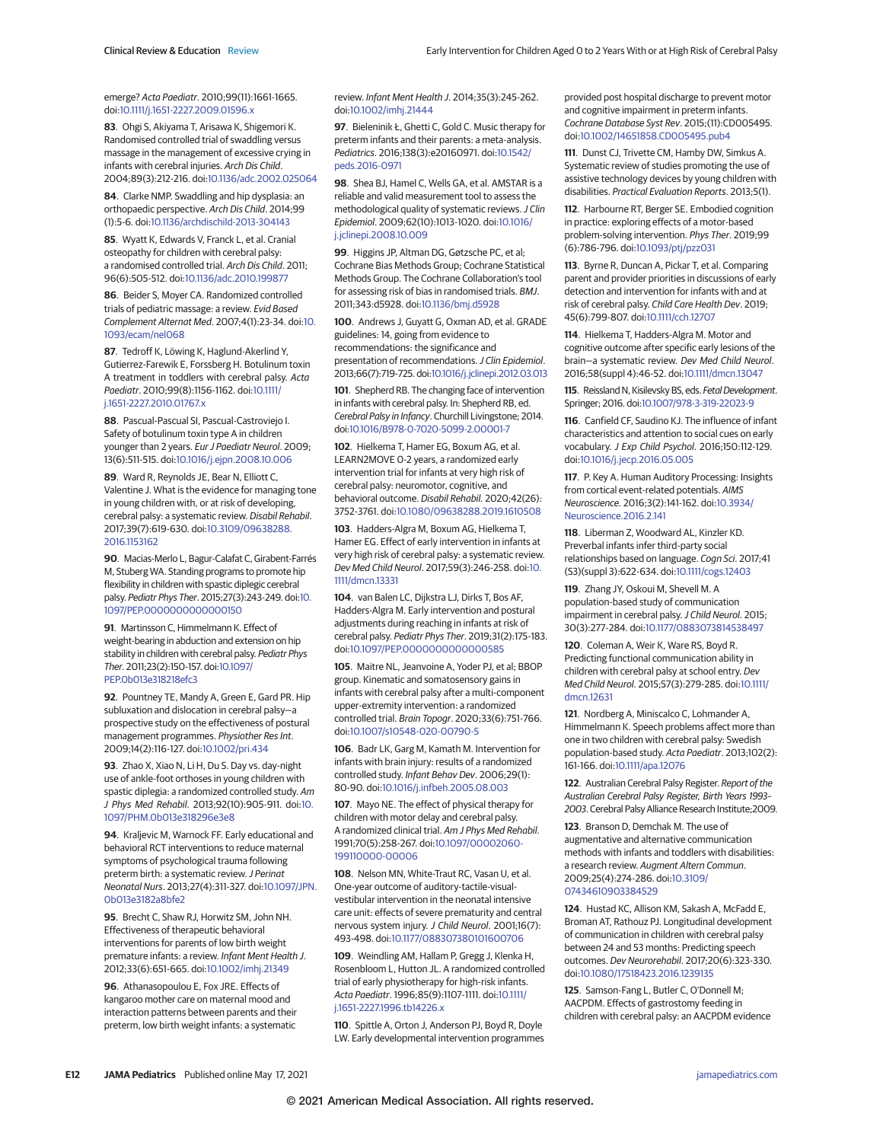emerge? Acta Paediatr. 2010;99(11):1661-1665. doi[:10.1111/j.1651-2227.2009.01596.x](https://dx.doi.org/10.1111/j.1651-2227.2009.01596.x)

**83**. Ohgi S, Akiyama T, Arisawa K, Shigemori K. Randomised controlled trial of swaddling versus massage in the management of excessive crying in infants with cerebral injuries. Arch Dis Child. 2004;89(3):212-216. doi[:10.1136/adc.2002.025064](https://dx.doi.org/10.1136/adc.2002.025064)

**84**. Clarke NMP. Swaddling and hip dysplasia: an orthopaedic perspective. Arch Dis Child. 2014;99 (1):5-6. doi[:10.1136/archdischild-2013-304143](https://dx.doi.org/10.1136/archdischild-2013-304143)

**85**. Wyatt K, Edwards V, Franck L, et al. Cranial osteopathy for children with cerebral palsy: a randomised controlled trial. Arch Dis Child. 2011; 96(6):505-512. doi[:10.1136/adc.2010.199877](https://dx.doi.org/10.1136/adc.2010.199877)

**86**. Beider S, Moyer CA. Randomized controlled trials of pediatric massage: a review. Evid Based Complement Alternat Med. 2007;4(1):23-34. doi[:10.](https://dx.doi.org/10.1093/ecam/nel068) [1093/ecam/nel068](https://dx.doi.org/10.1093/ecam/nel068)

**87**. Tedroff K, Löwing K, Haglund-Akerlind Y, Gutierrez-Farewik E, Forssberg H. Botulinum toxin A treatment in toddlers with cerebral palsy. Acta Paediatr. 2010;99(8):1156-1162. doi[:10.1111/](https://dx.doi.org/10.1111/j.1651-2227.2010.01767.x) [j.1651-2227.2010.01767.x](https://dx.doi.org/10.1111/j.1651-2227.2010.01767.x)

**88**. Pascual-Pascual SI, Pascual-Castroviejo I. Safety of botulinum toxin type A in children younger than 2 years. Eur J Paediatr Neurol. 2009; 13(6):511-515. doi[:10.1016/j.ejpn.2008.10.006](https://dx.doi.org/10.1016/j.ejpn.2008.10.006)

**89**. Ward R, Reynolds JE, Bear N, Elliott C, Valentine J. What is the evidence for managing tone in young children with, or at risk of developing, cerebral palsy: a systematic review. Disabil Rehabil. 2017;39(7):619-630. doi[:10.3109/09638288.](https://dx.doi.org/10.3109/09638288.2016.1153162) [2016.1153162](https://dx.doi.org/10.3109/09638288.2016.1153162)

**90**. Macias-Merlo L, Bagur-Calafat C, Girabent-Farrés M, Stuberg WA. Standing programs to promote hip flexibility in children with spastic diplegic cerebral palsy. Pediatr Phys Ther. 2015;27(3):243-249. doi[:10.](https://dx.doi.org/10.1097/PEP.0000000000000150) [1097/PEP.0000000000000150](https://dx.doi.org/10.1097/PEP.0000000000000150)

**91**. Martinsson C, Himmelmann K. Effect of weight-bearing in abduction and extension on hip stability in children with cerebral palsy. Pediatr Phys Ther. 2011;23(2):150-157. doi[:10.1097/](https://dx.doi.org/10.1097/PEP.0b013e318218efc3) [PEP.0b013e318218efc3](https://dx.doi.org/10.1097/PEP.0b013e318218efc3)

**92**. Pountney TE, Mandy A, Green E, Gard PR. Hip subluxation and dislocation in cerebral palsy—a prospective study on the effectiveness of postural management programmes. Physiother Res Int. 2009;14(2):116-127. doi[:10.1002/pri.434](https://dx.doi.org/10.1002/pri.434)

**93**. Zhao X, Xiao N, Li H, Du S. Day vs. day-night use of ankle-foot orthoses in young children with spastic diplegia: a randomized controlled study. Am J Phys Med Rehabil. 2013;92(10):905-911. doi[:10.](https://dx.doi.org/10.1097/PHM.0b013e318296e3e8) [1097/PHM.0b013e318296e3e8](https://dx.doi.org/10.1097/PHM.0b013e318296e3e8)

**94**. Kraljevic M, Warnock FF. Early educational and behavioral RCT interventions to reduce maternal symptoms of psychological trauma following preterm birth: a systematic review. J Perinat Neonatal Nurs. 2013;27(4):311-327. doi[:10.1097/JPN.](https://dx.doi.org/10.1097/JPN.0b013e3182a8bfe2) [0b013e3182a8bfe2](https://dx.doi.org/10.1097/JPN.0b013e3182a8bfe2)

**95**. Brecht C, Shaw RJ, Horwitz SM, John NH. Effectiveness of therapeutic behavioral interventions for parents of low birth weight premature infants: a review. Infant Ment Health J. 2012;33(6):651-665. doi[:10.1002/imhj.21349](https://dx.doi.org/10.1002/imhj.21349)

**96**. Athanasopoulou E, Fox JRE. Effects of kangaroo mother care on maternal mood and interaction patterns between parents and their preterm, low birth weight infants: a systematic review. Infant Ment Health J. 2014;35(3):245-262. doi[:10.1002/imhj.21444](https://dx.doi.org/10.1002/imhj.21444)

**97**. Bieleninik Ł, Ghetti C, Gold C. Music therapy for preterm infants and their parents: a meta-analysis. Pediatrics. 2016;138(3):e20160971. doi[:10.1542/](https://dx.doi.org/10.1542/peds.2016-0971) [peds.2016-0971](https://dx.doi.org/10.1542/peds.2016-0971)

**98**. Shea BJ, Hamel C, Wells GA, et al. AMSTAR is a reliable and valid measurement tool to assess the methodological quality of systematic reviews. J Clin Epidemiol. 2009;62(10):1013-1020. doi[:10.1016/](https://dx.doi.org/10.1016/j.jclinepi.2008.10.009) [j.jclinepi.2008.10.009](https://dx.doi.org/10.1016/j.jclinepi.2008.10.009)

**99**. Higgins JP, Altman DG, Gøtzsche PC, et al; Cochrane Bias Methods Group; Cochrane Statistical Methods Group. The Cochrane Collaboration's tool for assessing risk of bias in randomised trials. BMJ. 2011;343:d5928. doi[:10.1136/bmj.d5928](https://dx.doi.org/10.1136/bmj.d5928)

**100**. Andrews J, Guyatt G, Oxman AD, et al. GRADE guidelines: 14, going from evidence to recommendations: the significance and presentation of recommendations. J Clin Epidemiol. 2013;66(7):719-725. doi[:10.1016/j.jclinepi.2012.03.013](https://dx.doi.org/10.1016/j.jclinepi.2012.03.013)

**101**. Shepherd RB. The changing face of intervention in infants with cerebral palsy. In: Shepherd RB, ed. Cerebral Palsy in Infancy. Churchill Livingstone; 2014. doi[:10.1016/B978-0-7020-5099-2.00001-7](https://dx.doi.org/10.1016/B978-0-7020-5099-2.00001-7)

**102**. Hielkema T, Hamer EG, Boxum AG, et al. LEARN2MOVE 0-2 years, a randomized early intervention trial for infants at very high risk of cerebral palsy: neuromotor, cognitive, and behavioral outcome. Disabil Rehabil. 2020;42(26): 3752-3761. doi[:10.1080/09638288.2019.1610508](https://dx.doi.org/10.1080/09638288.2019.1610508)

**103**. Hadders-Algra M, Boxum AG, Hielkema T, Hamer EG. Effect of early intervention in infants at very high risk of cerebral palsy: a systematic review. Dev Med Child Neurol. 2017;59(3):246-258. doi[:10.](https://dx.doi.org/10.1111/dmcn.13331) [1111/dmcn.13331](https://dx.doi.org/10.1111/dmcn.13331)

**104**. van Balen LC, Dijkstra LJ, Dirks T, Bos AF, Hadders-Algra M. Early intervention and postural adjustments during reaching in infants at risk of cerebral palsy. Pediatr Phys Ther. 2019;31(2):175-183. doi[:10.1097/PEP.0000000000000585](https://dx.doi.org/10.1097/PEP.0000000000000585)

**105**. Maitre NL, Jeanvoine A, Yoder PJ, et al; BBOP group. Kinematic and somatosensory gains in infants with cerebral palsy after a multi-component upper-extremity intervention: a randomized controlled trial. Brain Topogr. 2020;33(6):751-766. doi[:10.1007/s10548-020-00790-5](https://dx.doi.org/10.1007/s10548-020-00790-5)

**106**. Badr LK, Garg M, Kamath M. Intervention for infants with brain injury: results of a randomized controlled study. Infant Behav Dev. 2006;29(1): 80-90. doi[:10.1016/j.infbeh.2005.08.003](https://dx.doi.org/10.1016/j.infbeh.2005.08.003)

**107**. Mayo NE. The effect of physical therapy for children with motor delay and cerebral palsy. A randomized clinical trial. Am J Phys Med Rehabil. 1991;70(5):258-267. doi[:10.1097/00002060-](https://dx.doi.org/10.1097/00002060-199110000-00006) [199110000-00006](https://dx.doi.org/10.1097/00002060-199110000-00006)

**108**. Nelson MN, White-Traut RC, Vasan U, et al. One-year outcome of auditory-tactile-visualvestibular intervention in the neonatal intensive care unit: effects of severe prematurity and central nervous system injury. J Child Neurol. 2001;16(7): 493-498. doi[:10.1177/088307380101600706](https://dx.doi.org/10.1177/088307380101600706)

**109**. Weindling AM, Hallam P, Gregg J, Klenka H, Rosenbloom L, Hutton JL. A randomized controlled trial of early physiotherapy for high-risk infants. Acta Paediatr. 1996;85(9):1107-1111. doi[:10.1111/](https://dx.doi.org/10.1111/j.1651-2227.1996.tb14226.x) [j.1651-2227.1996.tb14226.x](https://dx.doi.org/10.1111/j.1651-2227.1996.tb14226.x)

**110**. Spittle A, Orton J, Anderson PJ, Boyd R, Doyle LW. Early developmental intervention programmes provided post hospital discharge to prevent motor and cognitive impairment in preterm infants. Cochrane Database Syst Rev. 2015;(11):CD005495. doi[:10.1002/14651858.CD005495.pub4](https://dx.doi.org/10.1002/14651858.CD005495.pub4)

**111**. Dunst CJ, Trivette CM, Hamby DW, Simkus A. Systematic review of studies promoting the use of assistive technology devices by young children with disabilities. Practical Evaluation Reports. 2013;5(1).

**112**. Harbourne RT, Berger SE. Embodied cognition in practice: exploring effects of a motor-based problem-solving intervention. Phys Ther. 2019;99 (6):786-796. doi[:10.1093/ptj/pzz031](https://dx.doi.org/10.1093/ptj/pzz031)

**113**. Byrne R, Duncan A, Pickar T, et al. Comparing parent and provider priorities in discussions of early detection and intervention for infants with and at risk of cerebral palsy. Child Care Health Dev. 2019; 45(6):799-807. doi[:10.1111/cch.12707](https://dx.doi.org/10.1111/cch.12707)

**114**. Hielkema T, Hadders-Algra M. Motor and cognitive outcome after specific early lesions of the brain—a systematic review. Dev Med Child Neurol. 2016;58(suppl 4):46-52. doi[:10.1111/dmcn.13047](https://dx.doi.org/10.1111/dmcn.13047)

115. Reissland N, Kisilevsky BS, eds. Fetal Development. Springer; 2016. doi[:10.1007/978-3-319-22023-9](https://dx.doi.org/10.1007/978-3-319-22023-9)

**116**. Canfield CF, Saudino KJ. The influence of infant characteristics and attention to social cues on early vocabulary. J Exp Child Psychol. 2016;150:112-129. doi[:10.1016/j.jecp.2016.05.005](https://dx.doi.org/10.1016/j.jecp.2016.05.005)

**117**. P. Key A. Human Auditory Processing: Insights from cortical event-related potentials. AIMS Neuroscience. 2016;3(2):141-162. doi[:10.3934/](https://dx.doi.org/10.3934/Neuroscience.2016.2.141) [Neuroscience.2016.2.141](https://dx.doi.org/10.3934/Neuroscience.2016.2.141)

**118**. Liberman Z, Woodward AL, Kinzler KD. Preverbal infants infer third-party social relationships based on language. Cogn Sci. 2017;41 (S3)(suppl 3):622-634. doi[:10.1111/cogs.12403](https://dx.doi.org/10.1111/cogs.12403)

**119**. Zhang JY, Oskoui M, Shevell M. A population-based study of communication impairment in cerebral palsy. J Child Neurol. 2015; 30(3):277-284. doi[:10.1177/0883073814538497](https://dx.doi.org/10.1177/0883073814538497)

**120**. Coleman A, Weir K, Ware RS, Boyd R. Predicting functional communication ability in children with cerebral palsy at school entry. Dev Med Child Neurol. 2015;57(3):279-285. doi[:10.1111/](https://dx.doi.org/10.1111/dmcn.12631) [dmcn.12631](https://dx.doi.org/10.1111/dmcn.12631)

**121**. Nordberg A, Miniscalco C, Lohmander A, Himmelmann K. Speech problems affect more than one in two children with cerebral palsy: Swedish population-based study. Acta Paediatr. 2013;102(2): 161-166. doi[:10.1111/apa.12076](https://dx.doi.org/10.1111/apa.12076)

122. Australian Cerebral Palsy Register. Report of the Australian Cerebral Palsy Register, Birth Years 1993– 2003. Cerebral Palsy Alliance Research Institute;2009.

**123**. Branson D, Demchak M. The use of augmentative and alternative communication methods with infants and toddlers with disabilities: a research review. Augment Altern Commun. 2009;25(4):274-286. doi[:10.3109/](https://dx.doi.org/10.3109/07434610903384529) [07434610903384529](https://dx.doi.org/10.3109/07434610903384529)

**124**. Hustad KC, Allison KM, Sakash A, McFadd E, Broman AT, Rathouz PJ. Longitudinal development of communication in children with cerebral palsy between 24 and 53 months: Predicting speech outcomes. Dev Neurorehabil. 2017;20(6):323-330. doi[:10.1080/17518423.2016.1239135](https://dx.doi.org/10.1080/17518423.2016.1239135)

**125**. Samson-Fang L, Butler C, O'Donnell M; AACPDM. Effects of gastrostomy feeding in children with cerebral palsy: an AACPDM evidence